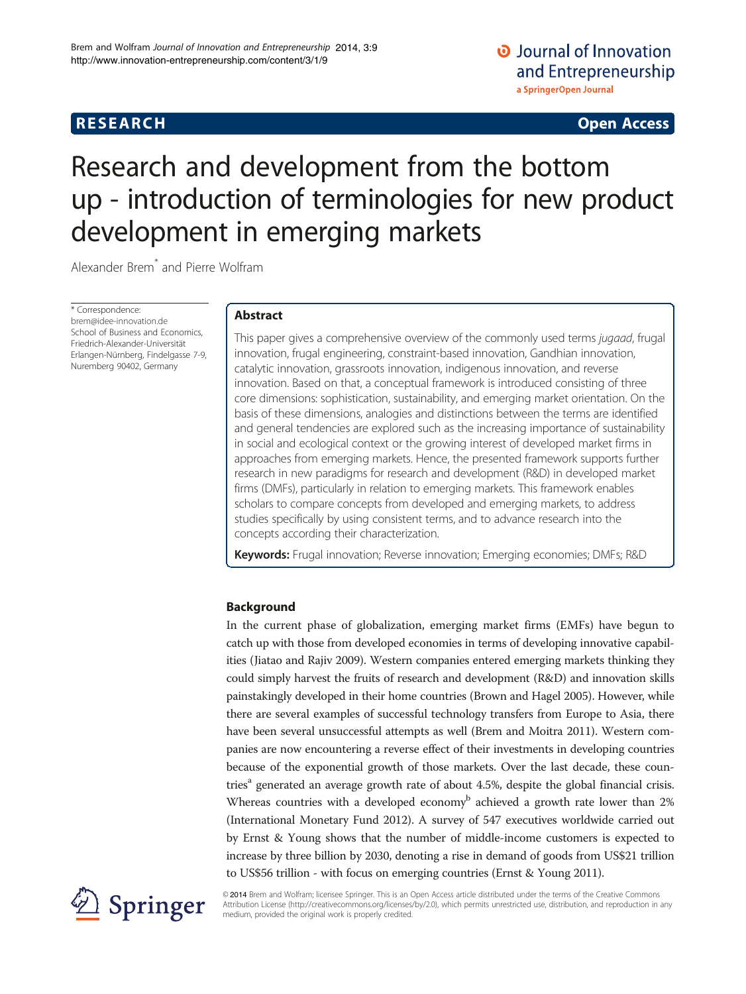# **RESEARCH RESEARCH CONSUMING ACCESS**

# O Journal of Innovation and Entrepreneurship a SpringerOpen Journal

# Research and development from the bottom up - introduction of terminologies for new product development in emerging markets

Alexander Brem\* and Pierre Wolfram

\* Correspondence: [brem@idee-innovation.de](mailto:brem@idee-innovation.de) School of Business and Economics, Friedrich-Alexander-Universität Erlangen-Nürnberg, Findelgasse 7-9, Nuremberg 90402, Germany

# Abstract

This paper gives a comprehensive overview of the commonly used terms jugaad, frugal innovation, frugal engineering, constraint-based innovation, Gandhian innovation, catalytic innovation, grassroots innovation, indigenous innovation, and reverse innovation. Based on that, a conceptual framework is introduced consisting of three core dimensions: sophistication, sustainability, and emerging market orientation. On the basis of these dimensions, analogies and distinctions between the terms are identified and general tendencies are explored such as the increasing importance of sustainability in social and ecological context or the growing interest of developed market firms in approaches from emerging markets. Hence, the presented framework supports further research in new paradigms for research and development (R&D) in developed market firms (DMFs), particularly in relation to emerging markets. This framework enables scholars to compare concepts from developed and emerging markets, to address studies specifically by using consistent terms, and to advance research into the concepts according their characterization.

Keywords: Frugal innovation; Reverse innovation; Emerging economies; DMFs; R&D

## Background

In the current phase of globalization, emerging market firms (EMFs) have begun to catch up with those from developed economies in terms of developing innovative capabilities (Jiatao and Rajiv [2009](#page-20-0)). Western companies entered emerging markets thinking they could simply harvest the fruits of research and development (R&D) and innovation skills painstakingly developed in their home countries (Brown and Hagel [2005\)](#page-19-0). However, while there are several examples of successful technology transfers from Europe to Asia, there have been several unsuccessful attempts as well (Brem and Moitra [2011](#page-19-0)). Western companies are now encountering a reverse effect of their investments in developing countries because of the exponential growth of those markets. Over the last decade, these countries<sup>a</sup> generated an average growth rate of about  $4.5\%$ , despite the global financial crisis. Whereas countries with a developed economy<sup>b</sup> achieved a growth rate lower than 2% (International Monetary Fund [2012](#page-20-0)). A survey of 547 executives worldwide carried out by Ernst & Young shows that the number of middle-income customers is expected to increase by three billion by 2030, denoting a rise in demand of goods from US\$21 trillion to US\$56 trillion - with focus on emerging countries (Ernst & Young [2011](#page-19-0)).



© 2014 Brem and Wolfram; licensee Springer. This is an Open Access article distributed under the terms of the Creative Commons Attribution License [\(http://creativecommons.org/licenses/by/2.0\)](http://creativecommons.org/licenses/by/2.0), which permits unrestricted use, distribution, and reproduction in any medium, provided the original work is properly credited.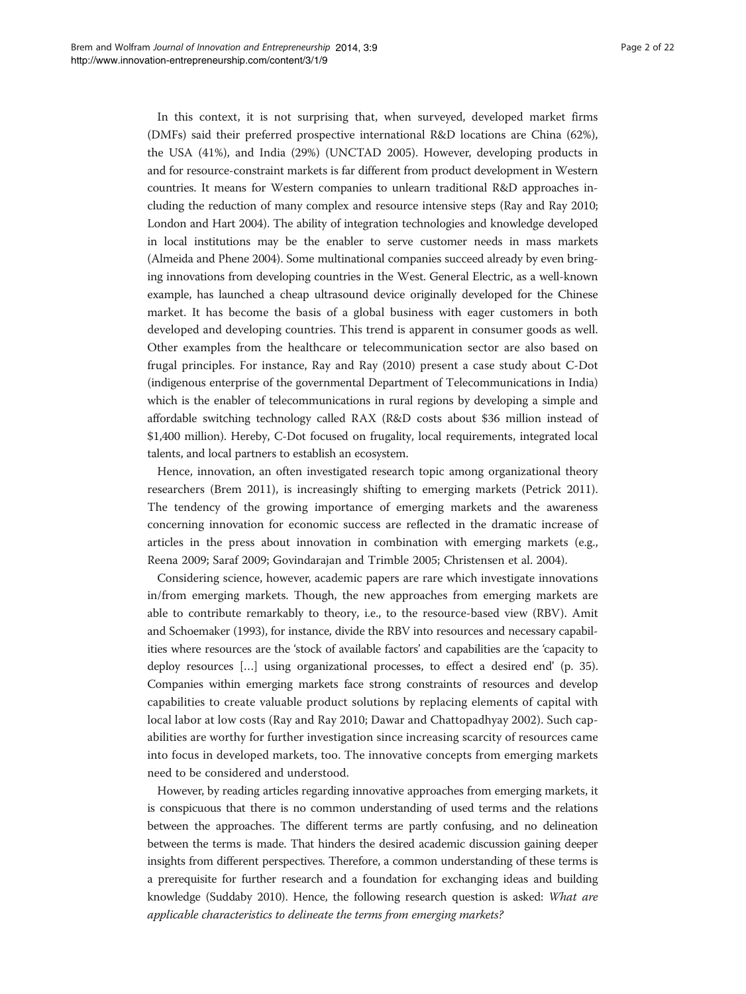In this context, it is not surprising that, when surveyed, developed market firms (DMFs) said their preferred prospective international R&D locations are China (62%), the USA (41%), and India (29%) (UNCTAD [2005\)](#page-21-0). However, developing products in and for resource-constraint markets is far different from product development in Western countries. It means for Western companies to unlearn traditional R&D approaches including the reduction of many complex and resource intensive steps (Ray and Ray [2010](#page-20-0); London and Hart [2004](#page-20-0)). The ability of integration technologies and knowledge developed in local institutions may be the enabler to serve customer needs in mass markets (Almeida and Phene [2004\)](#page-19-0). Some multinational companies succeed already by even bringing innovations from developing countries in the West. General Electric, as a well-known example, has launched a cheap ultrasound device originally developed for the Chinese market. It has become the basis of a global business with eager customers in both developed and developing countries. This trend is apparent in consumer goods as well. Other examples from the healthcare or telecommunication sector are also based on frugal principles. For instance, Ray and Ray ([2010\)](#page-20-0) present a case study about C-Dot (indigenous enterprise of the governmental Department of Telecommunications in India) which is the enabler of telecommunications in rural regions by developing a simple and affordable switching technology called RAX (R&D costs about \$36 million instead of \$1,400 million). Hereby, C-Dot focused on frugality, local requirements, integrated local talents, and local partners to establish an ecosystem.

Hence, innovation, an often investigated research topic among organizational theory researchers (Brem [2011](#page-19-0)), is increasingly shifting to emerging markets (Petrick [2011](#page-20-0)). The tendency of the growing importance of emerging markets and the awareness concerning innovation for economic success are reflected in the dramatic increase of articles in the press about innovation in combination with emerging markets (e.g., Reena [2009;](#page-20-0) Saraf [2009;](#page-20-0) Govindarajan and Trimble [2005](#page-20-0); Christensen et al. [2004](#page-19-0)).

Considering science, however, academic papers are rare which investigate innovations in/from emerging markets. Though, the new approaches from emerging markets are able to contribute remarkably to theory, i.e., to the resource-based view (RBV). Amit and Schoemaker [\(1993\)](#page-19-0), for instance, divide the RBV into resources and necessary capabilities where resources are the 'stock of available factors' and capabilities are the 'capacity to deploy resources […] using organizational processes, to effect a desired end' (p. 35). Companies within emerging markets face strong constraints of resources and develop capabilities to create valuable product solutions by replacing elements of capital with local labor at low costs (Ray and Ray [2010;](#page-20-0) Dawar and Chattopadhyay [2002\)](#page-19-0). Such capabilities are worthy for further investigation since increasing scarcity of resources came into focus in developed markets, too. The innovative concepts from emerging markets need to be considered and understood.

However, by reading articles regarding innovative approaches from emerging markets, it is conspicuous that there is no common understanding of used terms and the relations between the approaches. The different terms are partly confusing, and no delineation between the terms is made. That hinders the desired academic discussion gaining deeper insights from different perspectives. Therefore, a common understanding of these terms is a prerequisite for further research and a foundation for exchanging ideas and building knowledge (Suddaby [2010\)](#page-21-0). Hence, the following research question is asked: What are applicable characteristics to delineate the terms from emerging markets?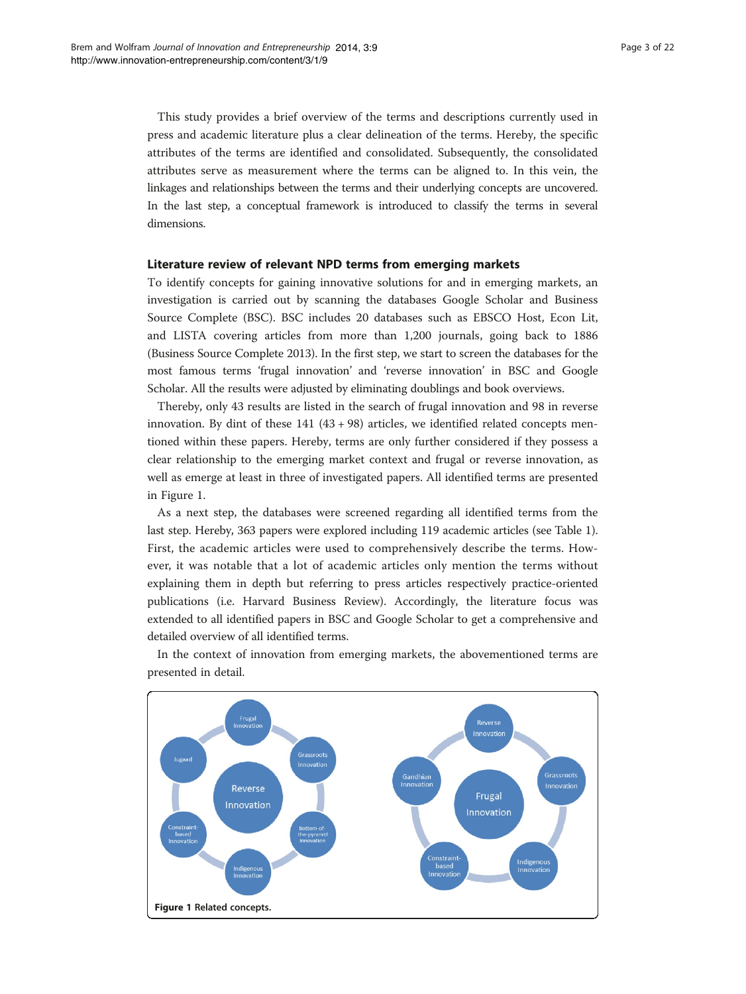This study provides a brief overview of the terms and descriptions currently used in press and academic literature plus a clear delineation of the terms. Hereby, the specific attributes of the terms are identified and consolidated. Subsequently, the consolidated attributes serve as measurement where the terms can be aligned to. In this vein, the linkages and relationships between the terms and their underlying concepts are uncovered. In the last step, a conceptual framework is introduced to classify the terms in several dimensions.

#### Literature review of relevant NPD terms from emerging markets

To identify concepts for gaining innovative solutions for and in emerging markets, an investigation is carried out by scanning the databases Google Scholar and Business Source Complete (BSC). BSC includes 20 databases such as EBSCO Host, Econ Lit, and LISTA covering articles from more than 1,200 journals, going back to 1886 (Business Source Complete [2013](#page-19-0)). In the first step, we start to screen the databases for the most famous terms 'frugal innovation' and 'reverse innovation' in BSC and Google Scholar. All the results were adjusted by eliminating doublings and book overviews.

Thereby, only 43 results are listed in the search of frugal innovation and 98 in reverse innovation. By dint of these  $141 (43 + 98)$  articles, we identified related concepts mentioned within these papers. Hereby, terms are only further considered if they possess a clear relationship to the emerging market context and frugal or reverse innovation, as well as emerge at least in three of investigated papers. All identified terms are presented in Figure 1.

As a next step, the databases were screened regarding all identified terms from the last step. Hereby, 363 papers were explored including 119 academic articles (see Table [1](#page-3-0)). First, the academic articles were used to comprehensively describe the terms. However, it was notable that a lot of academic articles only mention the terms without explaining them in depth but referring to press articles respectively practice-oriented publications (i.e. Harvard Business Review). Accordingly, the literature focus was extended to all identified papers in BSC and Google Scholar to get a comprehensive and detailed overview of all identified terms.



In the context of innovation from emerging markets, the abovementioned terms are presented in detail.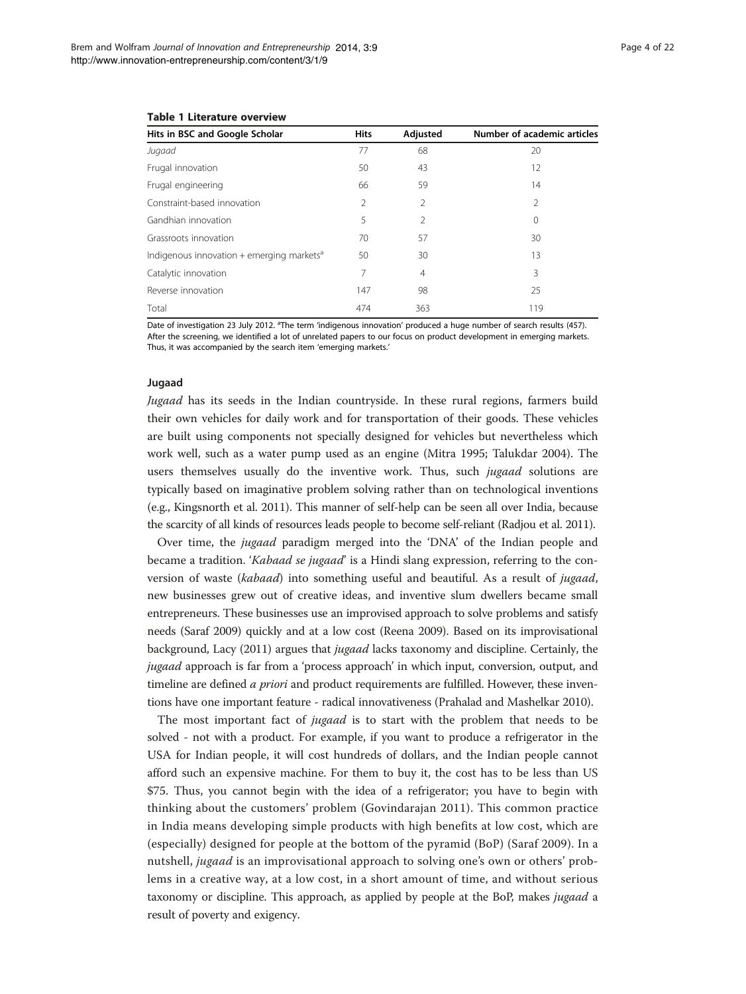| Hits in BSC and Google Scholar                          | <b>Hits</b> | Adjusted       | Number of academic articles |
|---------------------------------------------------------|-------------|----------------|-----------------------------|
| Jugaad                                                  | 77          | 68             | 20                          |
| Frugal innovation                                       | 50          | 43             | 12                          |
| Frugal engineering                                      | 66          | 59             | 14                          |
| Constraint-based innovation                             | 2           | $\mathcal{P}$  | 2                           |
| Gandhian innovation                                     | 5           | 2              | 0                           |
| Grassroots innovation                                   | 70          | 57             | 30                          |
| Indigenous innovation $+$ emerging markets <sup>a</sup> | 50          | 30             | 13                          |
| Catalytic innovation                                    | 7           | $\overline{4}$ | 3                           |
| Reverse innovation                                      | 147         | 98             | 25                          |
| Total                                                   | 474         | 363            | 119                         |

#### <span id="page-3-0"></span>Table 1 Literature overview

Date of investigation 23 July 2012. <sup>a</sup>The term 'indigenous innovation' produced a huge number of search results (457). After the screening, we identified a lot of unrelated papers to our focus on product development in emerging markets. Thus, it was accompanied by the search item 'emerging markets.'

#### Jugaad

Jugaad has its seeds in the Indian countryside. In these rural regions, farmers build their own vehicles for daily work and for transportation of their goods. These vehicles are built using components not specially designed for vehicles but nevertheless which work well, such as a water pump used as an engine (Mitra [1995](#page-20-0); Talukdar [2004\)](#page-21-0). The users themselves usually do the inventive work. Thus, such jugaad solutions are typically based on imaginative problem solving rather than on technological inventions (e.g., Kingsnorth et al. [2011\)](#page-20-0). This manner of self-help can be seen all over India, because the scarcity of all kinds of resources leads people to become self-reliant (Radjou et al. [2011\)](#page-20-0).

Over time, the jugaad paradigm merged into the 'DNA' of the Indian people and became a tradition. 'Kabaad se jugaad' is a Hindi slang expression, referring to the conversion of waste (kabaad) into something useful and beautiful. As a result of jugaad, new businesses grew out of creative ideas, and inventive slum dwellers became small entrepreneurs. These businesses use an improvised approach to solve problems and satisfy needs (Saraf [2009\)](#page-20-0) quickly and at a low cost (Reena [2009](#page-20-0)). Based on its improvisational background, Lacy ([2011\)](#page-20-0) argues that jugaad lacks taxonomy and discipline. Certainly, the jugaad approach is far from a 'process approach' in which input, conversion, output, and timeline are defined *a priori* and product requirements are fulfilled. However, these inventions have one important feature - radical innovativeness (Prahalad and Mashelkar [2010\)](#page-20-0).

The most important fact of *jugaad* is to start with the problem that needs to be solved - not with a product. For example, if you want to produce a refrigerator in the USA for Indian people, it will cost hundreds of dollars, and the Indian people cannot afford such an expensive machine. For them to buy it, the cost has to be less than US \$75. Thus, you cannot begin with the idea of a refrigerator; you have to begin with thinking about the customers' problem (Govindarajan [2011](#page-19-0)). This common practice in India means developing simple products with high benefits at low cost, which are (especially) designed for people at the bottom of the pyramid (BoP) (Saraf [2009](#page-20-0)). In a nutshell, jugaad is an improvisational approach to solving one's own or others' problems in a creative way, at a low cost, in a short amount of time, and without serious taxonomy or discipline. This approach, as applied by people at the BoP, makes *jugaad* a result of poverty and exigency.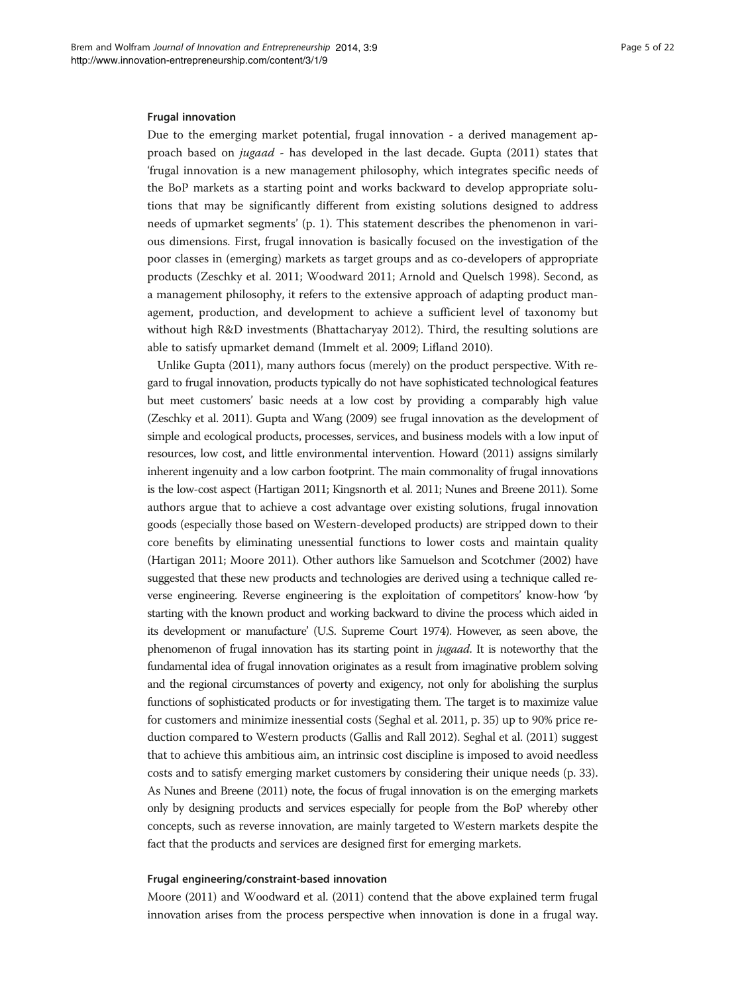#### Frugal innovation

Due to the emerging market potential, frugal innovation - a derived management approach based on jugaad - has developed in the last decade. Gupta ([2011\)](#page-20-0) states that 'frugal innovation is a new management philosophy, which integrates specific needs of the BoP markets as a starting point and works backward to develop appropriate solutions that may be significantly different from existing solutions designed to address needs of upmarket segments' (p. 1). This statement describes the phenomenon in various dimensions. First, frugal innovation is basically focused on the investigation of the poor classes in (emerging) markets as target groups and as co-developers of appropriate products (Zeschky et al. [2011;](#page-21-0) Woodward [2011](#page-21-0); Arnold and Quelsch [1998\)](#page-19-0). Second, as a management philosophy, it refers to the extensive approach of adapting product management, production, and development to achieve a sufficient level of taxonomy but without high R&D investments (Bhattacharyay [2012\)](#page-19-0). Third, the resulting solutions are able to satisfy upmarket demand (Immelt et al. [2009](#page-20-0); Lifland 2010).

Unlike Gupta ([2011\)](#page-20-0), many authors focus (merely) on the product perspective. With regard to frugal innovation, products typically do not have sophisticated technological features but meet customers' basic needs at a low cost by providing a comparably high value (Zeschky et al. [2011](#page-21-0)). Gupta and Wang [\(2009](#page-20-0)) see frugal innovation as the development of simple and ecological products, processes, services, and business models with a low input of resources, low cost, and little environmental intervention. Howard ([2011](#page-20-0)) assigns similarly inherent ingenuity and a low carbon footprint. The main commonality of frugal innovations is the low-cost aspect (Hartigan [2011;](#page-20-0) Kingsnorth et al. [2011;](#page-20-0) Nunes and Breene [2011](#page-20-0)). Some authors argue that to achieve a cost advantage over existing solutions, frugal innovation goods (especially those based on Western-developed products) are stripped down to their core benefits by eliminating unessential functions to lower costs and maintain quality (Hartigan [2011](#page-20-0); Moore [2011](#page-20-0)). Other authors like Samuelson and Scotchmer ([2002\)](#page-20-0) have suggested that these new products and technologies are derived using a technique called reverse engineering. Reverse engineering is the exploitation of competitors' know-how 'by starting with the known product and working backward to divine the process which aided in its development or manufacture' (U.S. Supreme Court [1974\)](#page-21-0). However, as seen above, the phenomenon of frugal innovation has its starting point in jugaad. It is noteworthy that the fundamental idea of frugal innovation originates as a result from imaginative problem solving and the regional circumstances of poverty and exigency, not only for abolishing the surplus functions of sophisticated products or for investigating them. The target is to maximize value for customers and minimize inessential costs (Seghal et al. [2011](#page-21-0), p. 35) up to 90% price reduction compared to Western products (Gallis and Rall [2012](#page-19-0)). Seghal et al. [\(2011\)](#page-21-0) suggest that to achieve this ambitious aim, an intrinsic cost discipline is imposed to avoid needless costs and to satisfy emerging market customers by considering their unique needs (p. 33). As Nunes and Breene [\(2011\)](#page-20-0) note, the focus of frugal innovation is on the emerging markets only by designing products and services especially for people from the BoP whereby other concepts, such as reverse innovation, are mainly targeted to Western markets despite the fact that the products and services are designed first for emerging markets.

#### Frugal engineering/constraint-based innovation

Moore [\(2011](#page-20-0)) and Woodward et al. [\(2011\)](#page-21-0) contend that the above explained term frugal innovation arises from the process perspective when innovation is done in a frugal way.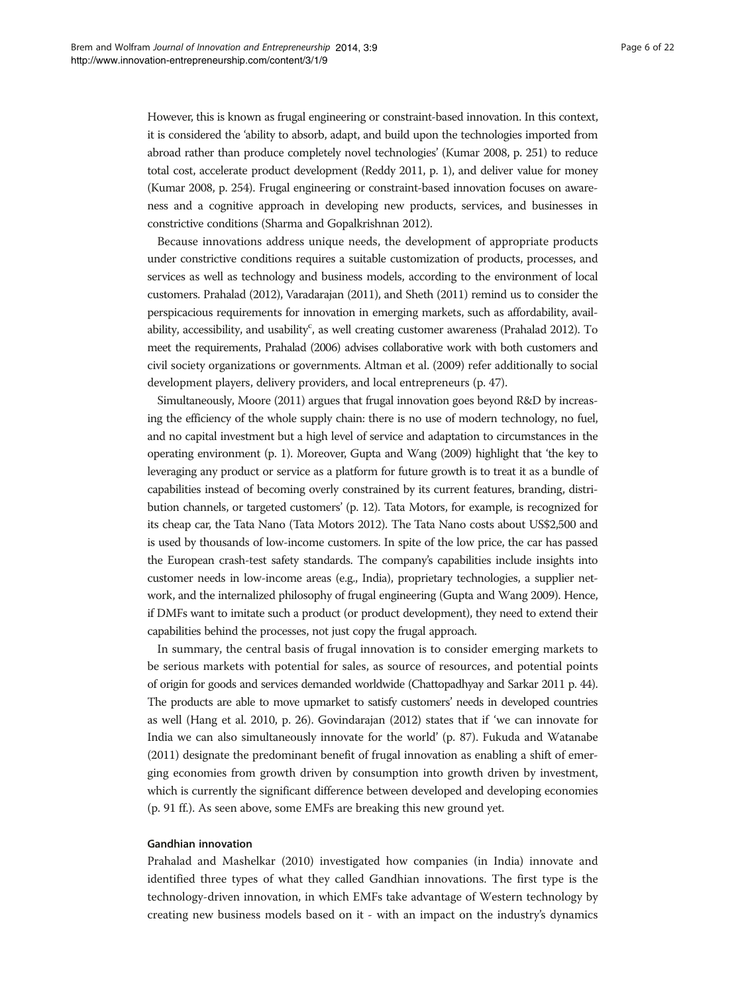However, this is known as frugal engineering or constraint-based innovation. In this context, it is considered the 'ability to absorb, adapt, and build upon the technologies imported from abroad rather than produce completely novel technologies' (Kumar [2008,](#page-20-0) p. 251) to reduce total cost, accelerate product development (Reddy [2011,](#page-20-0) p. 1), and deliver value for money (Kumar [2008,](#page-20-0) p. 254). Frugal engineering or constraint-based innovation focuses on awareness and a cognitive approach in developing new products, services, and businesses in constrictive conditions (Sharma and Gopalkrishnan [2012](#page-21-0)).

Because innovations address unique needs, the development of appropriate products under constrictive conditions requires a suitable customization of products, processes, and services as well as technology and business models, according to the environment of local customers. Prahalad [\(2012\)](#page-20-0), Varadarajan [\(2011](#page-21-0)), and Sheth ([2011\)](#page-21-0) remind us to consider the perspicacious requirements for innovation in emerging markets, such as affordability, avail-ability, accessibility, and usability<sup>c</sup>, as well creating customer awareness (Prahalad [2012](#page-20-0)). To meet the requirements, Prahalad [\(2006](#page-20-0)) advises collaborative work with both customers and civil society organizations or governments. Altman et al. ([2009\)](#page-19-0) refer additionally to social development players, delivery providers, and local entrepreneurs (p. 47).

Simultaneously, Moore ([2011\)](#page-20-0) argues that frugal innovation goes beyond R&D by increasing the efficiency of the whole supply chain: there is no use of modern technology, no fuel, and no capital investment but a high level of service and adaptation to circumstances in the operating environment (p. 1). Moreover, Gupta and Wang ([2009\)](#page-20-0) highlight that 'the key to leveraging any product or service as a platform for future growth is to treat it as a bundle of capabilities instead of becoming overly constrained by its current features, branding, distribution channels, or targeted customers' (p. 12). Tata Motors, for example, is recognized for its cheap car, the Tata Nano (Tata Motors [2012\)](#page-21-0). The Tata Nano costs about US\$2,500 and is used by thousands of low-income customers. In spite of the low price, the car has passed the European crash-test safety standards. The company's capabilities include insights into customer needs in low-income areas (e.g., India), proprietary technologies, a supplier network, and the internalized philosophy of frugal engineering (Gupta and Wang [2009\)](#page-20-0). Hence, if DMFs want to imitate such a product (or product development), they need to extend their capabilities behind the processes, not just copy the frugal approach.

In summary, the central basis of frugal innovation is to consider emerging markets to be serious markets with potential for sales, as source of resources, and potential points of origin for goods and services demanded worldwide (Chattopadhyay and Sarkar [2011](#page-19-0) p. 44). The products are able to move upmarket to satisfy customers' needs in developed countries as well (Hang et al. [2010](#page-20-0), p. 26). Govindarajan [\(2012](#page-19-0)) states that if 'we can innovate for India we can also simultaneously innovate for the world' (p. 87). Fukuda and Watanabe ([2011\)](#page-19-0) designate the predominant benefit of frugal innovation as enabling a shift of emerging economies from growth driven by consumption into growth driven by investment, which is currently the significant difference between developed and developing economies (p. 91 ff.). As seen above, some EMFs are breaking this new ground yet.

#### Gandhian innovation

Prahalad and Mashelkar ([2010\)](#page-20-0) investigated how companies (in India) innovate and identified three types of what they called Gandhian innovations. The first type is the technology-driven innovation, in which EMFs take advantage of Western technology by creating new business models based on it - with an impact on the industry's dynamics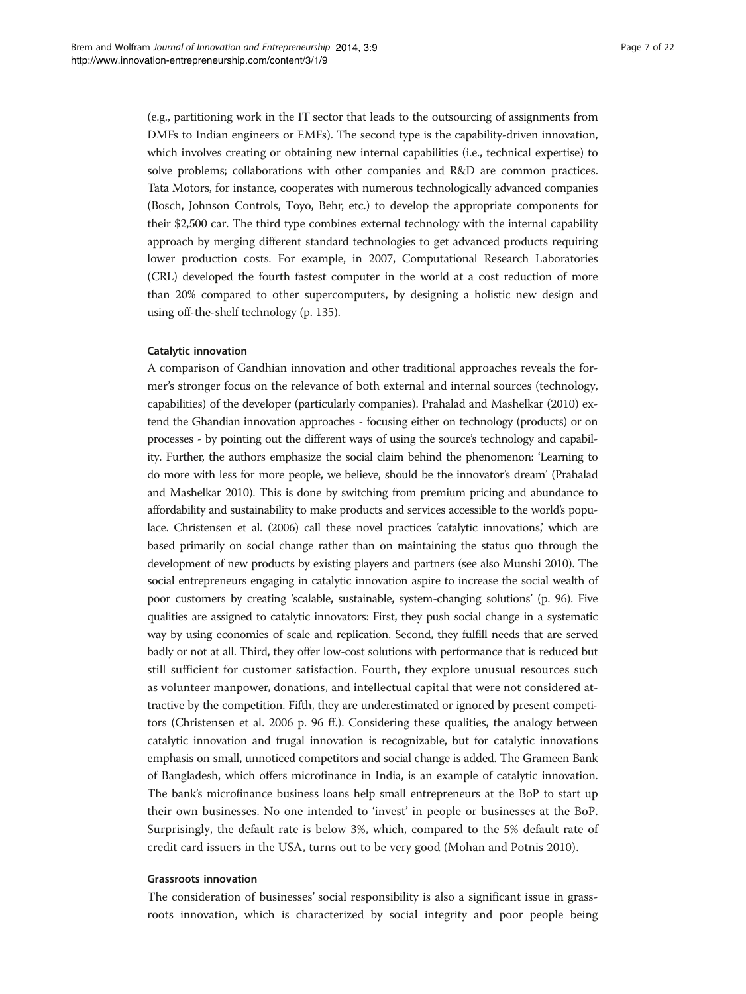(e.g., partitioning work in the IT sector that leads to the outsourcing of assignments from DMFs to Indian engineers or EMFs). The second type is the capability-driven innovation, which involves creating or obtaining new internal capabilities (i.e., technical expertise) to solve problems; collaborations with other companies and R&D are common practices. Tata Motors, for instance, cooperates with numerous technologically advanced companies (Bosch, Johnson Controls, Toyo, Behr, etc.) to develop the appropriate components for their \$2,500 car. The third type combines external technology with the internal capability approach by merging different standard technologies to get advanced products requiring lower production costs. For example, in 2007, Computational Research Laboratories (CRL) developed the fourth fastest computer in the world at a cost reduction of more than 20% compared to other supercomputers, by designing a holistic new design and using off-the-shelf technology (p. 135).

#### Catalytic innovation

A comparison of Gandhian innovation and other traditional approaches reveals the former's stronger focus on the relevance of both external and internal sources (technology, capabilities) of the developer (particularly companies). Prahalad and Mashelkar ([2010](#page-20-0)) extend the Ghandian innovation approaches - focusing either on technology (products) or on processes - by pointing out the different ways of using the source's technology and capability. Further, the authors emphasize the social claim behind the phenomenon: 'Learning to do more with less for more people, we believe, should be the innovator's dream' (Prahalad and Mashelkar [2010\)](#page-20-0). This is done by switching from premium pricing and abundance to affordability and sustainability to make products and services accessible to the world's populace. Christensen et al. ([2006\)](#page-19-0) call these novel practices 'catalytic innovations,' which are based primarily on social change rather than on maintaining the status quo through the development of new products by existing players and partners (see also Munshi [2010\)](#page-20-0). The social entrepreneurs engaging in catalytic innovation aspire to increase the social wealth of poor customers by creating 'scalable, sustainable, system-changing solutions' (p. 96). Five qualities are assigned to catalytic innovators: First, they push social change in a systematic way by using economies of scale and replication. Second, they fulfill needs that are served badly or not at all. Third, they offer low-cost solutions with performance that is reduced but still sufficient for customer satisfaction. Fourth, they explore unusual resources such as volunteer manpower, donations, and intellectual capital that were not considered attractive by the competition. Fifth, they are underestimated or ignored by present competitors (Christensen et al. [2006](#page-19-0) p. 96 ff.). Considering these qualities, the analogy between catalytic innovation and frugal innovation is recognizable, but for catalytic innovations emphasis on small, unnoticed competitors and social change is added. The Grameen Bank of Bangladesh, which offers microfinance in India, is an example of catalytic innovation. The bank's microfinance business loans help small entrepreneurs at the BoP to start up their own businesses. No one intended to 'invest' in people or businesses at the BoP. Surprisingly, the default rate is below 3%, which, compared to the 5% default rate of credit card issuers in the USA, turns out to be very good (Mohan and Potnis [2010\)](#page-20-0).

#### Grassroots innovation

The consideration of businesses' social responsibility is also a significant issue in grassroots innovation, which is characterized by social integrity and poor people being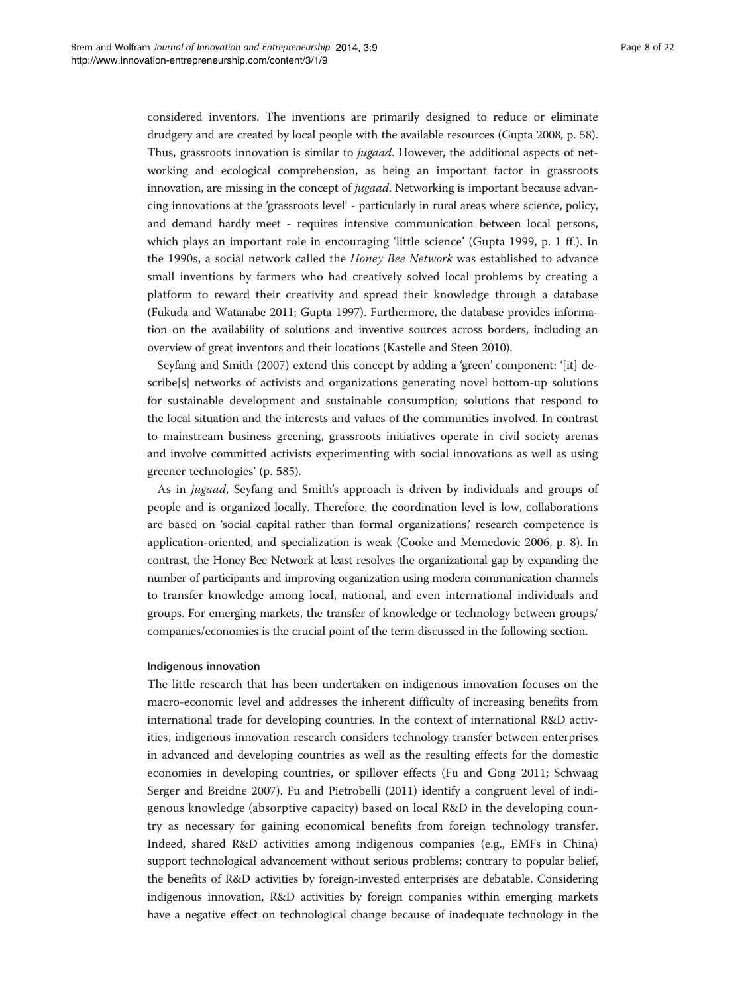considered inventors. The inventions are primarily designed to reduce or eliminate drudgery and are created by local people with the available resources (Gupta [2008,](#page-20-0) p. 58). Thus, grassroots innovation is similar to *jugaad*. However, the additional aspects of networking and ecological comprehension, as being an important factor in grassroots innovation, are missing in the concept of *jugaad*. Networking is important because advancing innovations at the 'grassroots level' - particularly in rural areas where science, policy, and demand hardly meet - requires intensive communication between local persons, which plays an important role in encouraging 'little science' (Gupta [1999,](#page-20-0) p. 1 ff.). In the 1990s, a social network called the Honey Bee Network was established to advance small inventions by farmers who had creatively solved local problems by creating a platform to reward their creativity and spread their knowledge through a database (Fukuda and Watanabe [2011;](#page-19-0) Gupta [1997](#page-20-0)). Furthermore, the database provides information on the availability of solutions and inventive sources across borders, including an overview of great inventors and their locations (Kastelle and Steen [2010\)](#page-20-0).

Seyfang and Smith [\(2007\)](#page-21-0) extend this concept by adding a 'green' component: '[it] describe[s] networks of activists and organizations generating novel bottom-up solutions for sustainable development and sustainable consumption; solutions that respond to the local situation and the interests and values of the communities involved. In contrast to mainstream business greening, grassroots initiatives operate in civil society arenas and involve committed activists experimenting with social innovations as well as using greener technologies' (p. 585).

As in jugaad, Seyfang and Smith's approach is driven by individuals and groups of people and is organized locally. Therefore, the coordination level is low, collaborations are based on 'social capital rather than formal organizations,' research competence is application-oriented, and specialization is weak (Cooke and Memedovic [2006,](#page-19-0) p. 8). In contrast, the Honey Bee Network at least resolves the organizational gap by expanding the number of participants and improving organization using modern communication channels to transfer knowledge among local, national, and even international individuals and groups. For emerging markets, the transfer of knowledge or technology between groups/ companies/economies is the crucial point of the term discussed in the following section.

#### Indigenous innovation

The little research that has been undertaken on indigenous innovation focuses on the macro-economic level and addresses the inherent difficulty of increasing benefits from international trade for developing countries. In the context of international R&D activities, indigenous innovation research considers technology transfer between enterprises in advanced and developing countries as well as the resulting effects for the domestic economies in developing countries, or spillover effects (Fu and Gong [2011](#page-19-0); Schwaag Serger and Breidne [2007\)](#page-21-0). Fu and Pietrobelli ([2011](#page-19-0)) identify a congruent level of indigenous knowledge (absorptive capacity) based on local R&D in the developing country as necessary for gaining economical benefits from foreign technology transfer. Indeed, shared R&D activities among indigenous companies (e.g., EMFs in China) support technological advancement without serious problems; contrary to popular belief, the benefits of R&D activities by foreign-invested enterprises are debatable. Considering indigenous innovation, R&D activities by foreign companies within emerging markets have a negative effect on technological change because of inadequate technology in the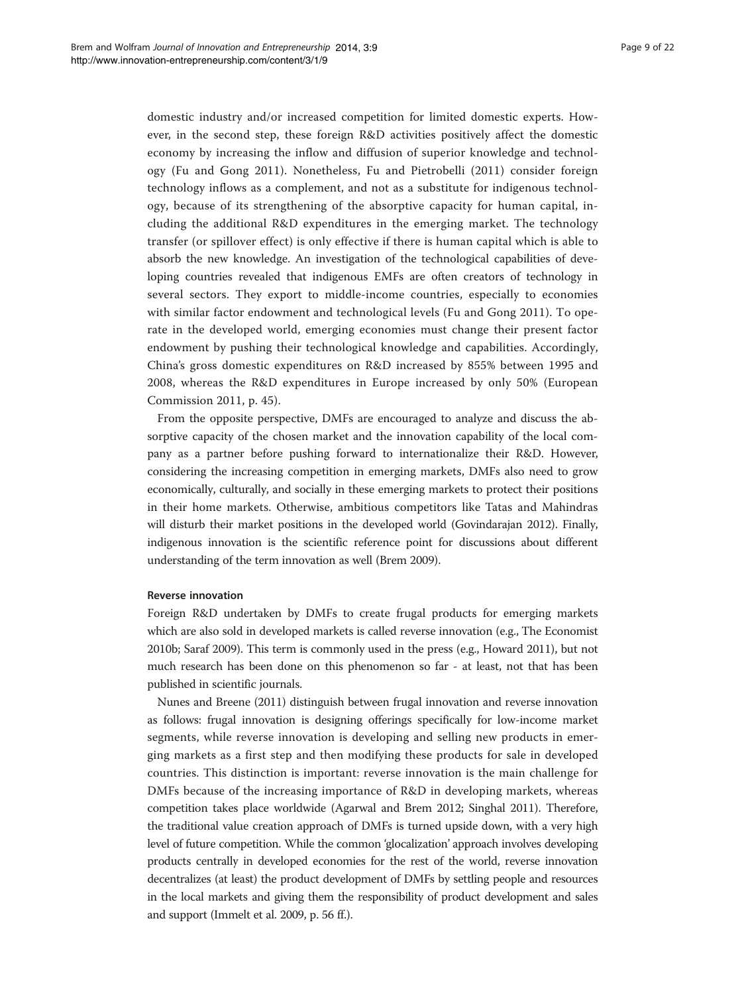domestic industry and/or increased competition for limited domestic experts. However, in the second step, these foreign R&D activities positively affect the domestic economy by increasing the inflow and diffusion of superior knowledge and technology (Fu and Gong [2011\)](#page-19-0). Nonetheless, Fu and Pietrobelli [\(2011\)](#page-19-0) consider foreign technology inflows as a complement, and not as a substitute for indigenous technology, because of its strengthening of the absorptive capacity for human capital, including the additional R&D expenditures in the emerging market. The technology transfer (or spillover effect) is only effective if there is human capital which is able to absorb the new knowledge. An investigation of the technological capabilities of developing countries revealed that indigenous EMFs are often creators of technology in several sectors. They export to middle-income countries, especially to economies with similar factor endowment and technological levels (Fu and Gong [2011\)](#page-19-0). To operate in the developed world, emerging economies must change their present factor endowment by pushing their technological knowledge and capabilities. Accordingly, China's gross domestic expenditures on R&D increased by 855% between 1995 and 2008, whereas the R&D expenditures in Europe increased by only 50% (European Commission [2011](#page-19-0), p. 45).

From the opposite perspective, DMFs are encouraged to analyze and discuss the absorptive capacity of the chosen market and the innovation capability of the local company as a partner before pushing forward to internationalize their R&D. However, considering the increasing competition in emerging markets, DMFs also need to grow economically, culturally, and socially in these emerging markets to protect their positions in their home markets. Otherwise, ambitious competitors like Tatas and Mahindras will disturb their market positions in the developed world (Govindarajan [2012](#page-19-0)). Finally, indigenous innovation is the scientific reference point for discussions about different understanding of the term innovation as well (Brem [2009\)](#page-19-0).

#### Reverse innovation

Foreign R&D undertaken by DMFs to create frugal products for emerging markets which are also sold in developed markets is called reverse innovation (e.g., The Economist [2010b](#page-19-0); Saraf [2009\)](#page-20-0). This term is commonly used in the press (e.g., Howard [2011\)](#page-20-0), but not much research has been done on this phenomenon so far - at least, not that has been published in scientific journals.

Nunes and Breene [\(2011](#page-20-0)) distinguish between frugal innovation and reverse innovation as follows: frugal innovation is designing offerings specifically for low-income market segments, while reverse innovation is developing and selling new products in emerging markets as a first step and then modifying these products for sale in developed countries. This distinction is important: reverse innovation is the main challenge for DMFs because of the increasing importance of R&D in developing markets, whereas competition takes place worldwide (Agarwal and Brem [2012](#page-19-0); Singhal [2011\)](#page-21-0). Therefore, the traditional value creation approach of DMFs is turned upside down, with a very high level of future competition. While the common 'glocalization' approach involves developing products centrally in developed economies for the rest of the world, reverse innovation decentralizes (at least) the product development of DMFs by settling people and resources in the local markets and giving them the responsibility of product development and sales and support (Immelt et al. [2009,](#page-20-0) p. 56 ff.).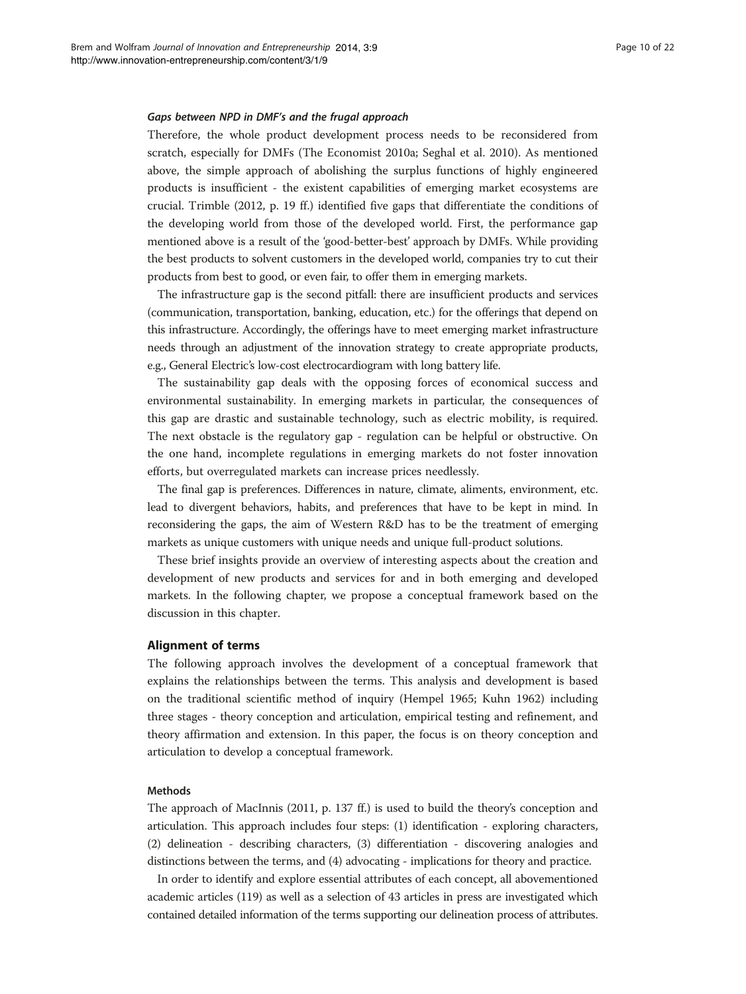#### Gaps between NPD in DMF's and the frugal approach

Therefore, the whole product development process needs to be reconsidered from scratch, especially for DMFs (The Economist [2010a;](#page-19-0) Seghal et al. [2010\)](#page-21-0). As mentioned above, the simple approach of abolishing the surplus functions of highly engineered products is insufficient - the existent capabilities of emerging market ecosystems are crucial. Trimble [\(2012,](#page-21-0) p. 19 ff.) identified five gaps that differentiate the conditions of the developing world from those of the developed world. First, the performance gap mentioned above is a result of the 'good-better-best' approach by DMFs. While providing the best products to solvent customers in the developed world, companies try to cut their products from best to good, or even fair, to offer them in emerging markets.

The infrastructure gap is the second pitfall: there are insufficient products and services (communication, transportation, banking, education, etc.) for the offerings that depend on this infrastructure. Accordingly, the offerings have to meet emerging market infrastructure needs through an adjustment of the innovation strategy to create appropriate products, e.g., General Electric's low-cost electrocardiogram with long battery life.

The sustainability gap deals with the opposing forces of economical success and environmental sustainability. In emerging markets in particular, the consequences of this gap are drastic and sustainable technology, such as electric mobility, is required. The next obstacle is the regulatory gap - regulation can be helpful or obstructive. On the one hand, incomplete regulations in emerging markets do not foster innovation efforts, but overregulated markets can increase prices needlessly.

The final gap is preferences. Differences in nature, climate, aliments, environment, etc. lead to divergent behaviors, habits, and preferences that have to be kept in mind. In reconsidering the gaps, the aim of Western R&D has to be the treatment of emerging markets as unique customers with unique needs and unique full-product solutions.

These brief insights provide an overview of interesting aspects about the creation and development of new products and services for and in both emerging and developed markets. In the following chapter, we propose a conceptual framework based on the discussion in this chapter.

#### Alignment of terms

The following approach involves the development of a conceptual framework that explains the relationships between the terms. This analysis and development is based on the traditional scientific method of inquiry (Hempel [1965;](#page-20-0) Kuhn [1962\)](#page-20-0) including three stages - theory conception and articulation, empirical testing and refinement, and theory affirmation and extension. In this paper, the focus is on theory conception and articulation to develop a conceptual framework.

#### Methods

The approach of MacInnis [\(2011,](#page-20-0) p. 137 ff.) is used to build the theory's conception and articulation. This approach includes four steps: (1) identification - exploring characters, (2) delineation - describing characters, (3) differentiation - discovering analogies and distinctions between the terms, and (4) advocating - implications for theory and practice.

In order to identify and explore essential attributes of each concept, all abovementioned academic articles (119) as well as a selection of 43 articles in press are investigated which contained detailed information of the terms supporting our delineation process of attributes.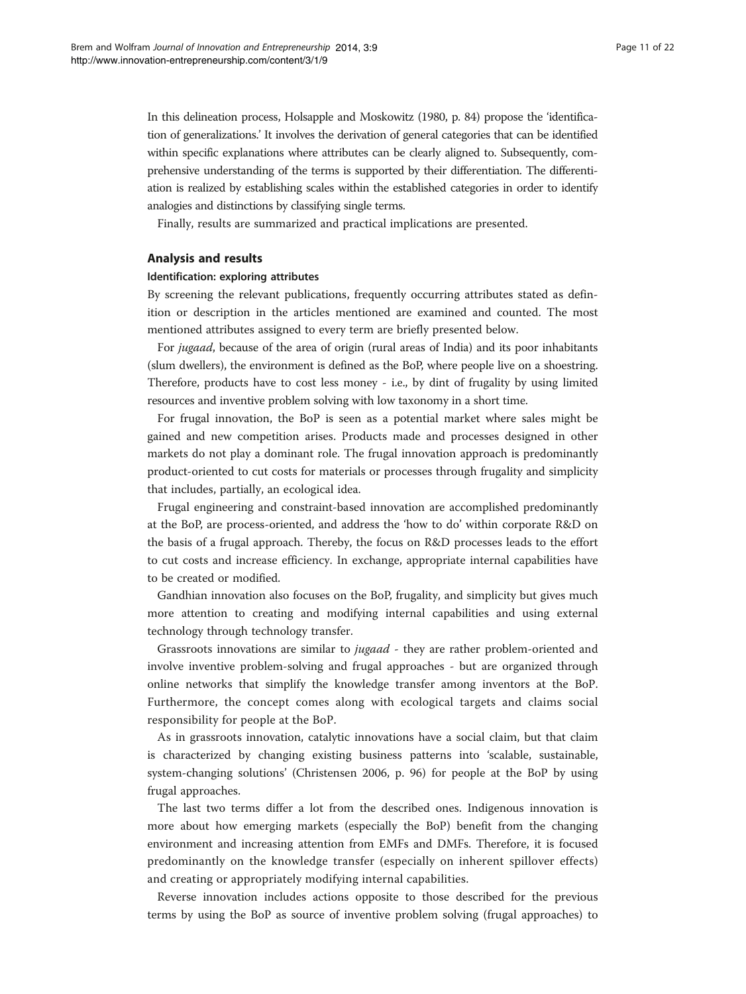In this delineation process, Holsapple and Moskowitz ([1980,](#page-20-0) p. 84) propose the 'identification of generalizations.' It involves the derivation of general categories that can be identified within specific explanations where attributes can be clearly aligned to. Subsequently, comprehensive understanding of the terms is supported by their differentiation. The differentiation is realized by establishing scales within the established categories in order to identify analogies and distinctions by classifying single terms.

Finally, results are summarized and practical implications are presented.

#### Analysis and results

#### Identification: exploring attributes

By screening the relevant publications, frequently occurring attributes stated as definition or description in the articles mentioned are examined and counted. The most mentioned attributes assigned to every term are briefly presented below.

For jugaad, because of the area of origin (rural areas of India) and its poor inhabitants (slum dwellers), the environment is defined as the BoP, where people live on a shoestring. Therefore, products have to cost less money - i.e., by dint of frugality by using limited resources and inventive problem solving with low taxonomy in a short time.

For frugal innovation, the BoP is seen as a potential market where sales might be gained and new competition arises. Products made and processes designed in other markets do not play a dominant role. The frugal innovation approach is predominantly product-oriented to cut costs for materials or processes through frugality and simplicity that includes, partially, an ecological idea.

Frugal engineering and constraint-based innovation are accomplished predominantly at the BoP, are process-oriented, and address the 'how to do' within corporate R&D on the basis of a frugal approach. Thereby, the focus on R&D processes leads to the effort to cut costs and increase efficiency. In exchange, appropriate internal capabilities have to be created or modified.

Gandhian innovation also focuses on the BoP, frugality, and simplicity but gives much more attention to creating and modifying internal capabilities and using external technology through technology transfer.

Grassroots innovations are similar to jugaad - they are rather problem-oriented and involve inventive problem-solving and frugal approaches - but are organized through online networks that simplify the knowledge transfer among inventors at the BoP. Furthermore, the concept comes along with ecological targets and claims social responsibility for people at the BoP.

As in grassroots innovation, catalytic innovations have a social claim, but that claim is characterized by changing existing business patterns into 'scalable, sustainable, system-changing solutions' (Christensen [2006](#page-19-0), p. 96) for people at the BoP by using frugal approaches.

The last two terms differ a lot from the described ones. Indigenous innovation is more about how emerging markets (especially the BoP) benefit from the changing environment and increasing attention from EMFs and DMFs. Therefore, it is focused predominantly on the knowledge transfer (especially on inherent spillover effects) and creating or appropriately modifying internal capabilities.

Reverse innovation includes actions opposite to those described for the previous terms by using the BoP as source of inventive problem solving (frugal approaches) to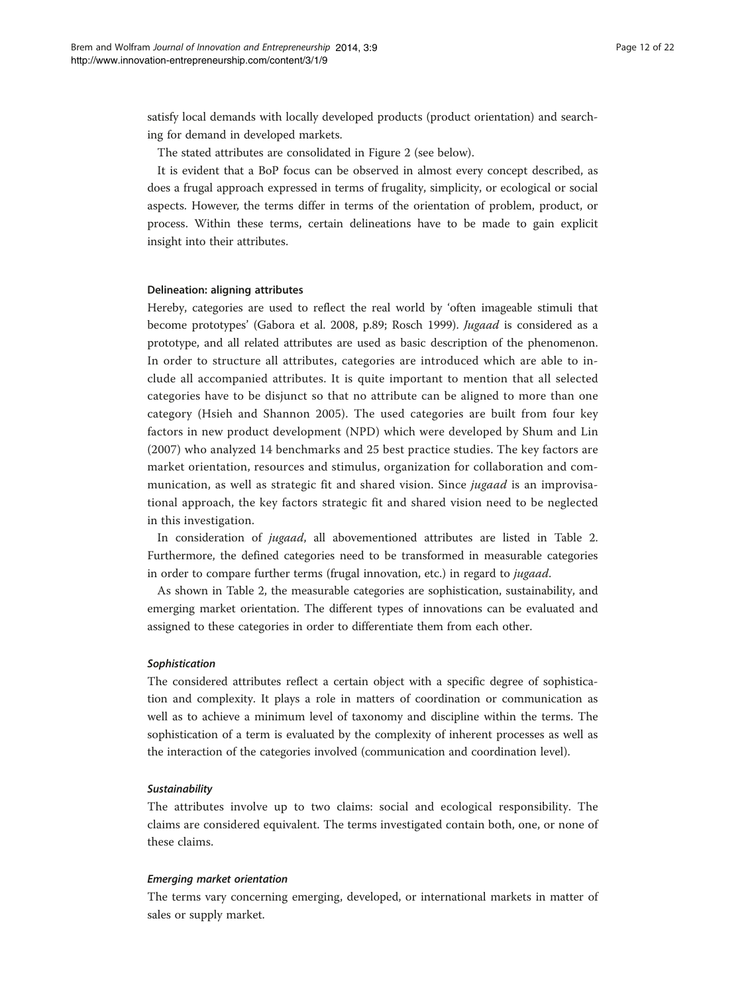satisfy local demands with locally developed products (product orientation) and searching for demand in developed markets.

The stated attributes are consolidated in Figure [2](#page-12-0) (see below).

It is evident that a BoP focus can be observed in almost every concept described, as does a frugal approach expressed in terms of frugality, simplicity, or ecological or social aspects. However, the terms differ in terms of the orientation of problem, product, or process. Within these terms, certain delineations have to be made to gain explicit insight into their attributes.

#### Delineation: aligning attributes

Hereby, categories are used to reflect the real world by 'often imageable stimuli that become prototypes' (Gabora et al. [2008,](#page-19-0) p.89; Rosch [1999](#page-20-0)). Jugaad is considered as a prototype, and all related attributes are used as basic description of the phenomenon. In order to structure all attributes, categories are introduced which are able to include all accompanied attributes. It is quite important to mention that all selected categories have to be disjunct so that no attribute can be aligned to more than one category (Hsieh and Shannon [2005\)](#page-20-0). The used categories are built from four key factors in new product development (NPD) which were developed by Shum and Lin ([2007](#page-21-0)) who analyzed 14 benchmarks and 25 best practice studies. The key factors are market orientation, resources and stimulus, organization for collaboration and communication, as well as strategic fit and shared vision. Since *jugaad* is an improvisational approach, the key factors strategic fit and shared vision need to be neglected in this investigation.

In consideration of jugaad, all abovementioned attributes are listed in Table [2](#page-12-0). Furthermore, the defined categories need to be transformed in measurable categories in order to compare further terms (frugal innovation, etc.) in regard to jugaad.

As shown in Table [2](#page-12-0), the measurable categories are sophistication, sustainability, and emerging market orientation. The different types of innovations can be evaluated and assigned to these categories in order to differentiate them from each other.

#### Sophistication

The considered attributes reflect a certain object with a specific degree of sophistication and complexity. It plays a role in matters of coordination or communication as well as to achieve a minimum level of taxonomy and discipline within the terms. The sophistication of a term is evaluated by the complexity of inherent processes as well as the interaction of the categories involved (communication and coordination level).

#### **Sustainability**

The attributes involve up to two claims: social and ecological responsibility. The claims are considered equivalent. The terms investigated contain both, one, or none of these claims.

#### Emerging market orientation

The terms vary concerning emerging, developed, or international markets in matter of sales or supply market.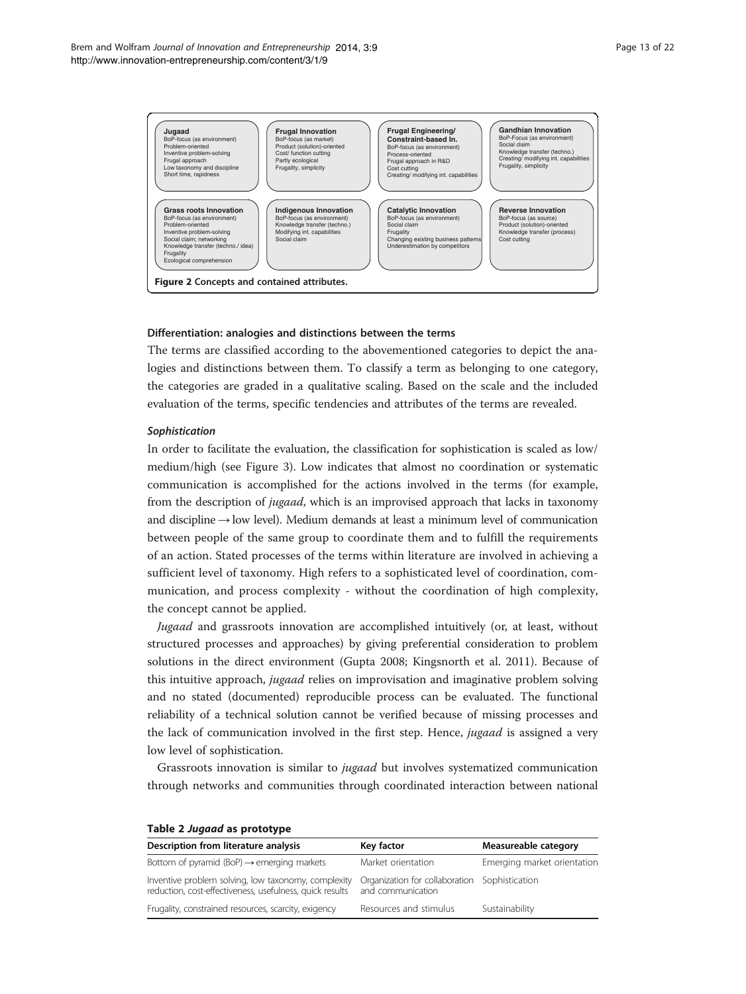<span id="page-12-0"></span>

#### Differentiation: analogies and distinctions between the terms

The terms are classified according to the abovementioned categories to depict the analogies and distinctions between them. To classify a term as belonging to one category, the categories are graded in a qualitative scaling. Based on the scale and the included evaluation of the terms, specific tendencies and attributes of the terms are revealed.

#### Sophistication

In order to facilitate the evaluation, the classification for sophistication is scaled as low/ medium/high (see Figure [3\)](#page-13-0). Low indicates that almost no coordination or systematic communication is accomplished for the actions involved in the terms (for example, from the description of jugaad, which is an improvised approach that lacks in taxonomy and discipline → low level). Medium demands at least a minimum level of communication between people of the same group to coordinate them and to fulfill the requirements of an action. Stated processes of the terms within literature are involved in achieving a sufficient level of taxonomy. High refers to a sophisticated level of coordination, communication, and process complexity - without the coordination of high complexity, the concept cannot be applied.

Jugaad and grassroots innovation are accomplished intuitively (or, at least, without structured processes and approaches) by giving preferential consideration to problem solutions in the direct environment (Gupta [2008](#page-20-0); Kingsnorth et al. [2011\)](#page-20-0). Because of this intuitive approach, jugaad relies on improvisation and imaginative problem solving and no stated (documented) reproducible process can be evaluated. The functional reliability of a technical solution cannot be verified because of missing processes and the lack of communication involved in the first step. Hence, jugaad is assigned a very low level of sophistication.

Grassroots innovation is similar to *jugaad* but involves systematized communication through networks and communities through coordinated interaction between national

| $\frac{1}{2}$ and $\frac{1}{2}$ and $\frac{1}{2}$ and $\frac{1}{2}$ and $\frac{1}{2}$ and $\frac{1}{2}$         |                                                                    |                             |  |  |
|-----------------------------------------------------------------------------------------------------------------|--------------------------------------------------------------------|-----------------------------|--|--|
| Description from literature analysis                                                                            | Key factor                                                         | Measureable category        |  |  |
| Bottom of pyramid (BoP) $\rightarrow$ emerging markets                                                          | Market orientation                                                 | Emerging market orientation |  |  |
| Inventive problem solving, low taxonomy, complexity<br>reduction, cost-effectiveness, usefulness, quick results | Organization for collaboration Sophistication<br>and communication |                             |  |  |
| Frugality, constrained resources, scarcity, exigency                                                            | Resources and stimulus                                             | Sustainability              |  |  |

#### Table 2 Jugaad as prototype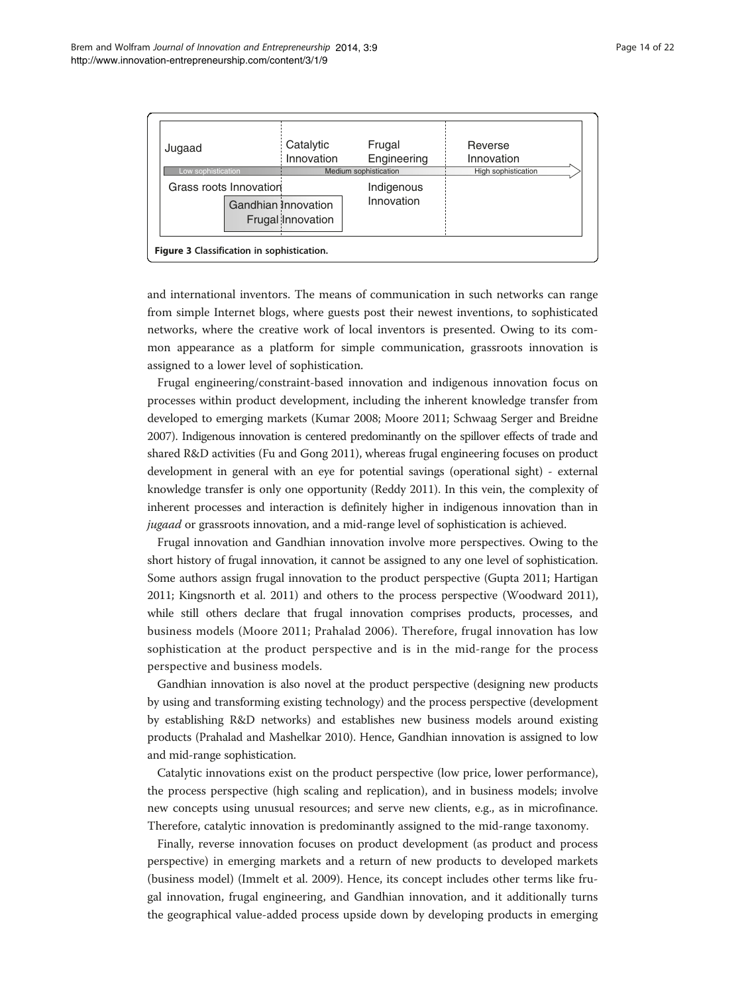<span id="page-13-0"></span>

and international inventors. The means of communication in such networks can range from simple Internet blogs, where guests post their newest inventions, to sophisticated networks, where the creative work of local inventors is presented. Owing to its common appearance as a platform for simple communication, grassroots innovation is assigned to a lower level of sophistication.

Frugal engineering/constraint-based innovation and indigenous innovation focus on processes within product development, including the inherent knowledge transfer from developed to emerging markets (Kumar [2008;](#page-20-0) Moore [2011;](#page-20-0) Schwaag Serger and Breidne [2007\)](#page-21-0). Indigenous innovation is centered predominantly on the spillover effects of trade and shared R&D activities (Fu and Gong [2011\)](#page-19-0), whereas frugal engineering focuses on product development in general with an eye for potential savings (operational sight) - external knowledge transfer is only one opportunity (Reddy [2011\)](#page-20-0). In this vein, the complexity of inherent processes and interaction is definitely higher in indigenous innovation than in jugaad or grassroots innovation, and a mid-range level of sophistication is achieved.

Frugal innovation and Gandhian innovation involve more perspectives. Owing to the short history of frugal innovation, it cannot be assigned to any one level of sophistication. Some authors assign frugal innovation to the product perspective (Gupta [2011](#page-20-0); Hartigan [2011;](#page-20-0) Kingsnorth et al. [2011](#page-20-0)) and others to the process perspective (Woodward [2011](#page-21-0)), while still others declare that frugal innovation comprises products, processes, and business models (Moore [2011;](#page-20-0) Prahalad [2006\)](#page-20-0). Therefore, frugal innovation has low sophistication at the product perspective and is in the mid-range for the process perspective and business models.

Gandhian innovation is also novel at the product perspective (designing new products by using and transforming existing technology) and the process perspective (development by establishing R&D networks) and establishes new business models around existing products (Prahalad and Mashelkar [2010\)](#page-20-0). Hence, Gandhian innovation is assigned to low and mid-range sophistication.

Catalytic innovations exist on the product perspective (low price, lower performance), the process perspective (high scaling and replication), and in business models; involve new concepts using unusual resources; and serve new clients, e.g., as in microfinance. Therefore, catalytic innovation is predominantly assigned to the mid-range taxonomy.

Finally, reverse innovation focuses on product development (as product and process perspective) in emerging markets and a return of new products to developed markets (business model) (Immelt et al. [2009\)](#page-20-0). Hence, its concept includes other terms like frugal innovation, frugal engineering, and Gandhian innovation, and it additionally turns the geographical value-added process upside down by developing products in emerging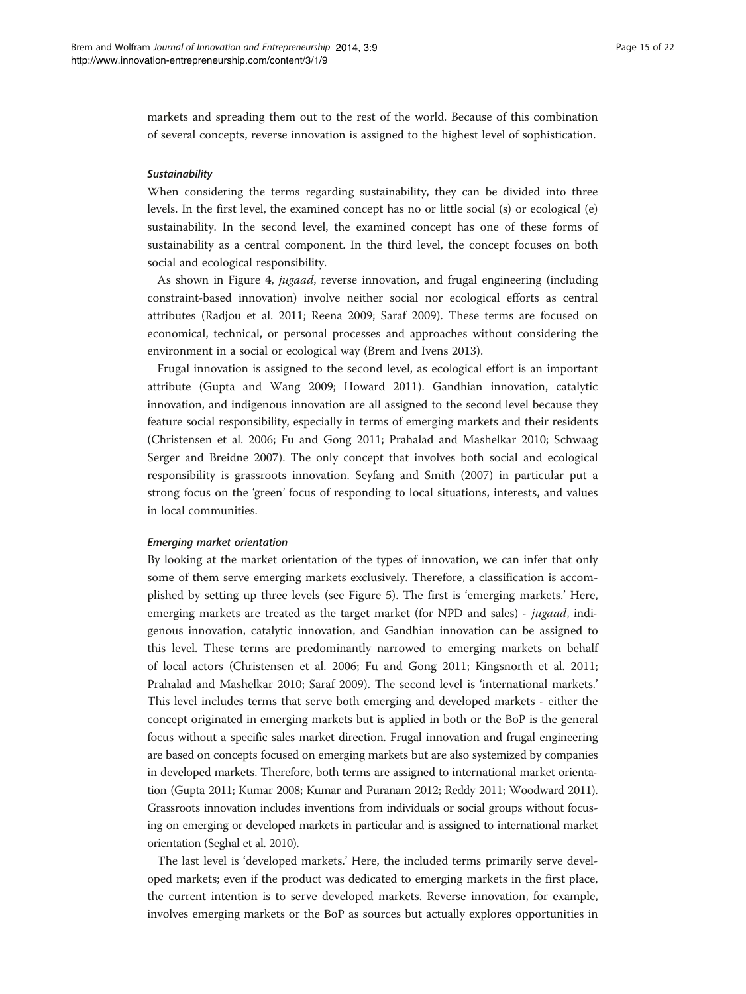markets and spreading them out to the rest of the world. Because of this combination of several concepts, reverse innovation is assigned to the highest level of sophistication.

#### **Sustainability**

When considering the terms regarding sustainability, they can be divided into three levels. In the first level, the examined concept has no or little social (s) or ecological (e) sustainability. In the second level, the examined concept has one of these forms of sustainability as a central component. In the third level, the concept focuses on both social and ecological responsibility.

As shown in Figure [4,](#page-15-0) jugaad, reverse innovation, and frugal engineering (including constraint-based innovation) involve neither social nor ecological efforts as central attributes (Radjou et al. [2011](#page-20-0); Reena [2009;](#page-20-0) Saraf [2009](#page-20-0)). These terms are focused on economical, technical, or personal processes and approaches without considering the environment in a social or ecological way (Brem and Ivens [2013\)](#page-19-0).

Frugal innovation is assigned to the second level, as ecological effort is an important attribute (Gupta and Wang [2009](#page-20-0); Howard [2011\)](#page-20-0). Gandhian innovation, catalytic innovation, and indigenous innovation are all assigned to the second level because they feature social responsibility, especially in terms of emerging markets and their residents (Christensen et al. [2006](#page-19-0); Fu and Gong [2011;](#page-19-0) Prahalad and Mashelkar [2010](#page-20-0); Schwaag Serger and Breidne [2007](#page-21-0)). The only concept that involves both social and ecological responsibility is grassroots innovation. Seyfang and Smith [\(2007\)](#page-21-0) in particular put a strong focus on the 'green' focus of responding to local situations, interests, and values in local communities.

#### Emerging market orientation

By looking at the market orientation of the types of innovation, we can infer that only some of them serve emerging markets exclusively. Therefore, a classification is accomplished by setting up three levels (see Figure [5\)](#page-15-0). The first is 'emerging markets.' Here, emerging markets are treated as the target market (for NPD and sales) - jugaad, indigenous innovation, catalytic innovation, and Gandhian innovation can be assigned to this level. These terms are predominantly narrowed to emerging markets on behalf of local actors (Christensen et al. [2006;](#page-19-0) Fu and Gong [2011;](#page-19-0) Kingsnorth et al. [2011](#page-20-0); Prahalad and Mashelkar [2010](#page-20-0); Saraf [2009](#page-20-0)). The second level is 'international markets.' This level includes terms that serve both emerging and developed markets - either the concept originated in emerging markets but is applied in both or the BoP is the general focus without a specific sales market direction. Frugal innovation and frugal engineering are based on concepts focused on emerging markets but are also systemized by companies in developed markets. Therefore, both terms are assigned to international market orientation (Gupta [2011;](#page-20-0) Kumar [2008;](#page-20-0) Kumar and Puranam [2012](#page-20-0); Reddy [2011](#page-20-0); Woodward [2011](#page-21-0)). Grassroots innovation includes inventions from individuals or social groups without focusing on emerging or developed markets in particular and is assigned to international market orientation (Seghal et al. [2010\)](#page-21-0).

The last level is 'developed markets.' Here, the included terms primarily serve developed markets; even if the product was dedicated to emerging markets in the first place, the current intention is to serve developed markets. Reverse innovation, for example, involves emerging markets or the BoP as sources but actually explores opportunities in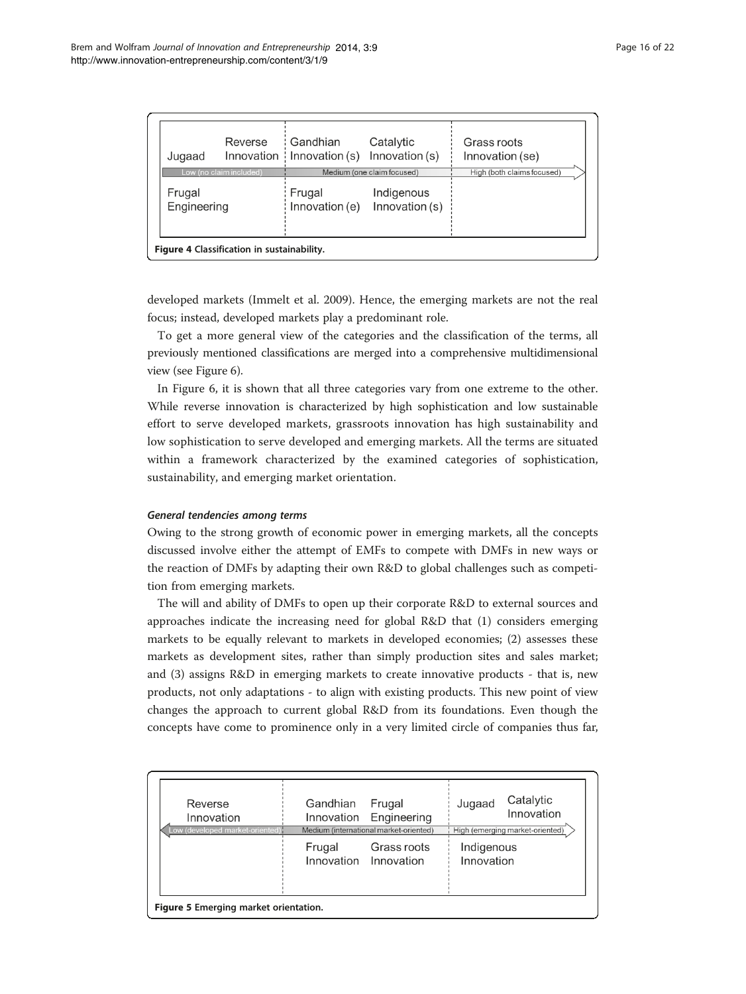<span id="page-15-0"></span>

| Jugaad                | Reverse                                               | Gandhian<br>Innovation $\frac{1}{2}$ Innovation (s) | Catalytic<br>Innovation (s)  | Grass roots<br>Innovation (se) |
|-----------------------|-------------------------------------------------------|-----------------------------------------------------|------------------------------|--------------------------------|
|                       | Low (no claim included)<br>Medium (one claim focused) |                                                     | High (both claims focused)   |                                |
| Frugal<br>Engineering |                                                       | Frugal<br>Innovation (e)                            | Indigenous<br>Innovation (s) |                                |
|                       | Figure 4 Classification in sustainability.            |                                                     |                              |                                |

developed markets (Immelt et al. [2009](#page-20-0)). Hence, the emerging markets are not the real focus; instead, developed markets play a predominant role.

To get a more general view of the categories and the classification of the terms, all previously mentioned classifications are merged into a comprehensive multidimensional view (see Figure [6](#page-16-0)).

In Figure [6,](#page-16-0) it is shown that all three categories vary from one extreme to the other. While reverse innovation is characterized by high sophistication and low sustainable effort to serve developed markets, grassroots innovation has high sustainability and low sophistication to serve developed and emerging markets. All the terms are situated within a framework characterized by the examined categories of sophistication, sustainability, and emerging market orientation.

### General tendencies among terms

Owing to the strong growth of economic power in emerging markets, all the concepts discussed involve either the attempt of EMFs to compete with DMFs in new ways or the reaction of DMFs by adapting their own R&D to global challenges such as competition from emerging markets.

The will and ability of DMFs to open up their corporate R&D to external sources and approaches indicate the increasing need for global R&D that (1) considers emerging markets to be equally relevant to markets in developed economies; (2) assesses these markets as development sites, rather than simply production sites and sales market; and (3) assigns R&D in emerging markets to create innovative products - that is, new products, not only adaptations - to align with existing products. This new point of view changes the approach to current global R&D from its foundations. Even though the concepts have come to prominence only in a very limited circle of companies thus far,

| Reverse<br>Innovation<br>Low (developed market-oriented) | Gandhian<br>Frugal<br>Innovation Engineering<br>Medium (international market-oriented) |                           | Catalytic<br>Jugaad<br>Innovation<br>High (emerging market-oriented) |  |
|----------------------------------------------------------|----------------------------------------------------------------------------------------|---------------------------|----------------------------------------------------------------------|--|
|                                                          | Frugal<br>Innovation                                                                   | Grass roots<br>Innovation | Indigenous<br>Innovation                                             |  |
| Figure 5 Emerging market orientation.                    |                                                                                        |                           |                                                                      |  |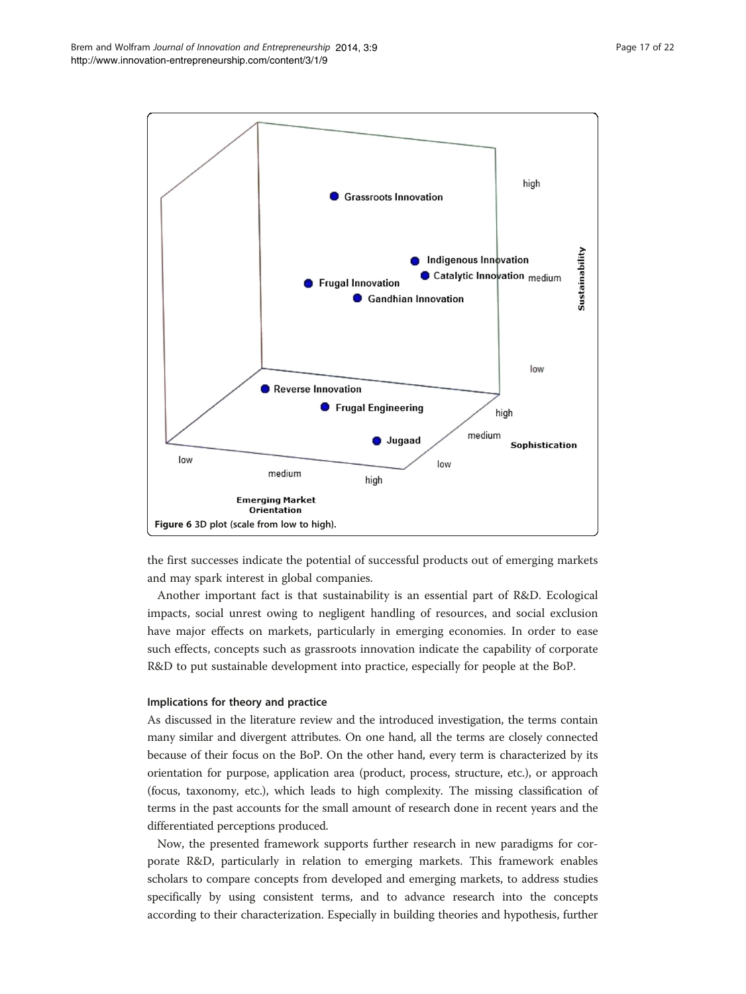<span id="page-16-0"></span>

the first successes indicate the potential of successful products out of emerging markets and may spark interest in global companies.

Another important fact is that sustainability is an essential part of R&D. Ecological impacts, social unrest owing to negligent handling of resources, and social exclusion have major effects on markets, particularly in emerging economies. In order to ease such effects, concepts such as grassroots innovation indicate the capability of corporate R&D to put sustainable development into practice, especially for people at the BoP.

#### Implications for theory and practice

As discussed in the literature review and the introduced investigation, the terms contain many similar and divergent attributes. On one hand, all the terms are closely connected because of their focus on the BoP. On the other hand, every term is characterized by its orientation for purpose, application area (product, process, structure, etc.), or approach (focus, taxonomy, etc.), which leads to high complexity. The missing classification of terms in the past accounts for the small amount of research done in recent years and the differentiated perceptions produced.

Now, the presented framework supports further research in new paradigms for corporate R&D, particularly in relation to emerging markets. This framework enables scholars to compare concepts from developed and emerging markets, to address studies specifically by using consistent terms, and to advance research into the concepts according to their characterization. Especially in building theories and hypothesis, further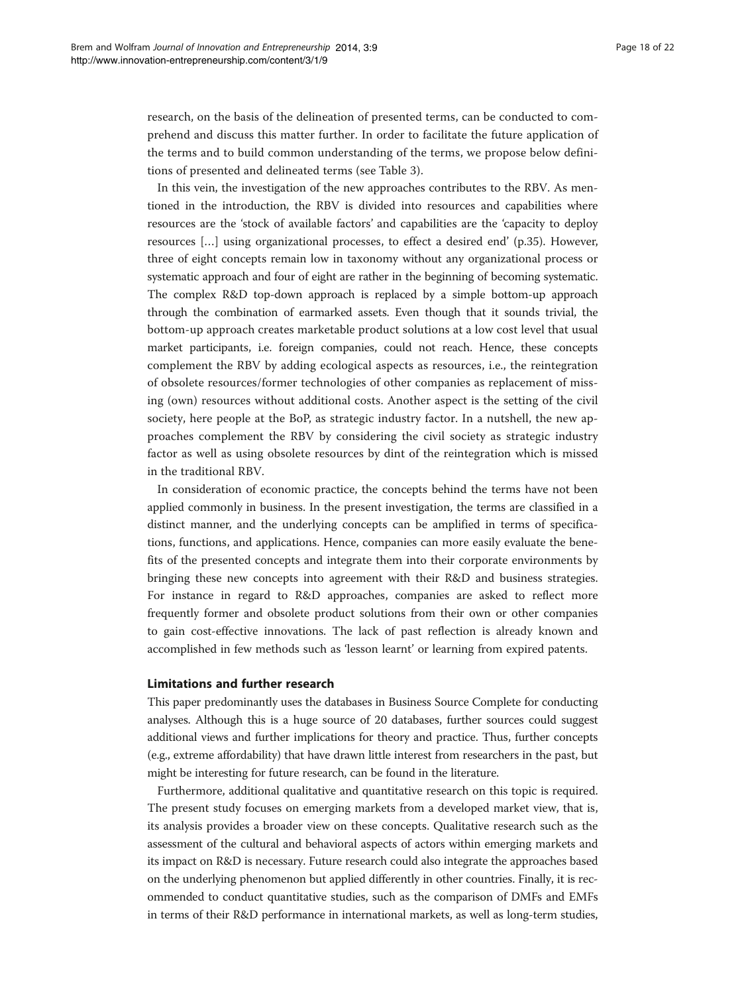research, on the basis of the delineation of presented terms, can be conducted to comprehend and discuss this matter further. In order to facilitate the future application of the terms and to build common understanding of the terms, we propose below definitions of presented and delineated terms (see Table [3\)](#page-18-0).

In this vein, the investigation of the new approaches contributes to the RBV. As mentioned in the introduction, the RBV is divided into resources and capabilities where resources are the 'stock of available factors' and capabilities are the 'capacity to deploy resources […] using organizational processes, to effect a desired end' (p.35). However, three of eight concepts remain low in taxonomy without any organizational process or systematic approach and four of eight are rather in the beginning of becoming systematic. The complex R&D top-down approach is replaced by a simple bottom-up approach through the combination of earmarked assets. Even though that it sounds trivial, the bottom-up approach creates marketable product solutions at a low cost level that usual market participants, i.e. foreign companies, could not reach. Hence, these concepts complement the RBV by adding ecological aspects as resources, i.e., the reintegration of obsolete resources/former technologies of other companies as replacement of missing (own) resources without additional costs. Another aspect is the setting of the civil society, here people at the BoP, as strategic industry factor. In a nutshell, the new approaches complement the RBV by considering the civil society as strategic industry factor as well as using obsolete resources by dint of the reintegration which is missed in the traditional RBV.

In consideration of economic practice, the concepts behind the terms have not been applied commonly in business. In the present investigation, the terms are classified in a distinct manner, and the underlying concepts can be amplified in terms of specifications, functions, and applications. Hence, companies can more easily evaluate the benefits of the presented concepts and integrate them into their corporate environments by bringing these new concepts into agreement with their R&D and business strategies. For instance in regard to R&D approaches, companies are asked to reflect more frequently former and obsolete product solutions from their own or other companies to gain cost-effective innovations. The lack of past reflection is already known and accomplished in few methods such as 'lesson learnt' or learning from expired patents.

#### Limitations and further research

This paper predominantly uses the databases in Business Source Complete for conducting analyses. Although this is a huge source of 20 databases, further sources could suggest additional views and further implications for theory and practice. Thus, further concepts (e.g., extreme affordability) that have drawn little interest from researchers in the past, but might be interesting for future research, can be found in the literature.

Furthermore, additional qualitative and quantitative research on this topic is required. The present study focuses on emerging markets from a developed market view, that is, its analysis provides a broader view on these concepts. Qualitative research such as the assessment of the cultural and behavioral aspects of actors within emerging markets and its impact on R&D is necessary. Future research could also integrate the approaches based on the underlying phenomenon but applied differently in other countries. Finally, it is recommended to conduct quantitative studies, such as the comparison of DMFs and EMFs in terms of their R&D performance in international markets, as well as long-term studies,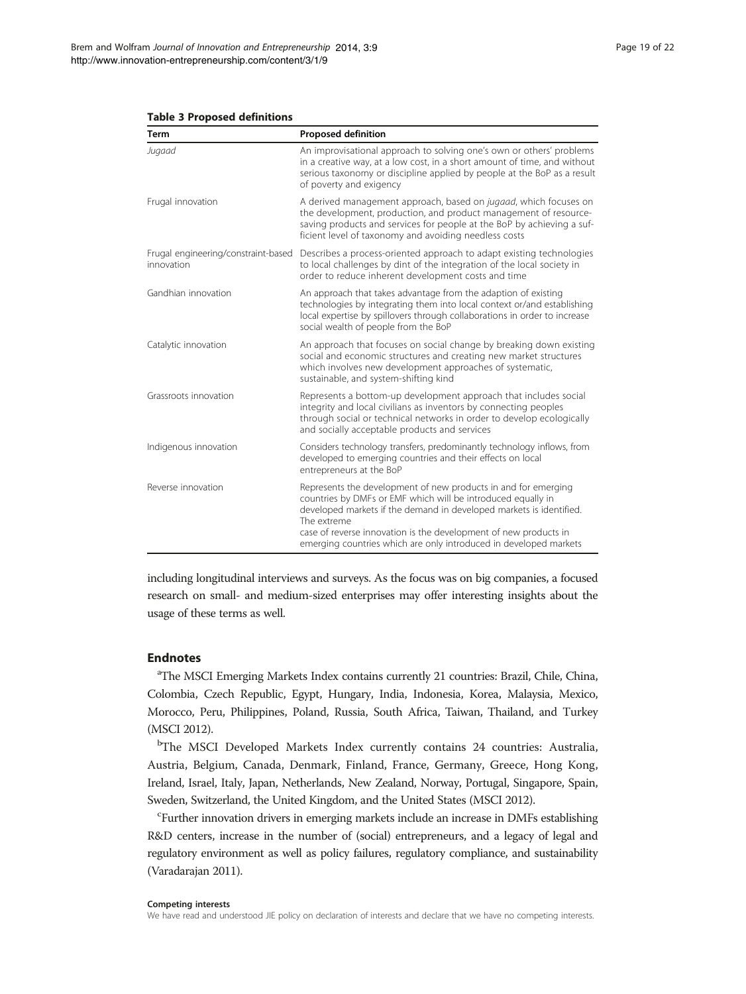| <b>Term</b>                                       | <b>Proposed definition</b>                                                                                                                                                                                                                                                                                                                                    |
|---------------------------------------------------|---------------------------------------------------------------------------------------------------------------------------------------------------------------------------------------------------------------------------------------------------------------------------------------------------------------------------------------------------------------|
| Jugaad                                            | An improvisational approach to solving one's own or others' problems<br>in a creative way, at a low cost, in a short amount of time, and without<br>serious taxonomy or discipline applied by people at the BoP as a result<br>of poverty and exigency                                                                                                        |
| Frugal innovation                                 | A derived management approach, based on jugaad, which focuses on<br>the development, production, and product management of resource-<br>saving products and services for people at the BoP by achieving a suf-<br>ficient level of taxonomy and avoiding needless costs                                                                                       |
| Frugal engineering/constraint-based<br>innovation | Describes a process-oriented approach to adapt existing technologies<br>to local challenges by dint of the integration of the local society in<br>order to reduce inherent development costs and time                                                                                                                                                         |
| Gandhian innovation                               | An approach that takes advantage from the adaption of existing<br>technologies by integrating them into local context or/and establishing<br>local expertise by spillovers through collaborations in order to increase<br>social wealth of people from the BoP                                                                                                |
| Catalytic innovation                              | An approach that focuses on social change by breaking down existing<br>social and economic structures and creating new market structures<br>which involves new development approaches of systematic,<br>sustainable, and system-shifting kind                                                                                                                 |
| Grassroots innovation                             | Represents a bottom-up development approach that includes social<br>integrity and local civilians as inventors by connecting peoples<br>through social or technical networks in order to develop ecologically<br>and socially acceptable products and services                                                                                                |
| Indigenous innovation                             | Considers technology transfers, predominantly technology inflows, from<br>developed to emerging countries and their effects on local<br>entrepreneurs at the BoP                                                                                                                                                                                              |
| Reverse innovation                                | Represents the development of new products in and for emerging<br>countries by DMFs or EMF which will be introduced equally in<br>developed markets if the demand in developed markets is identified.<br>The extreme<br>case of reverse innovation is the development of new products in<br>emerging countries which are only introduced in developed markets |

#### <span id="page-18-0"></span>Table 3 Proposed definitions

including longitudinal interviews and surveys. As the focus was on big companies, a focused research on small- and medium-sized enterprises may offer interesting insights about the usage of these terms as well.

#### Endnotes

<sup>a</sup>The MSCI Emerging Markets Index contains currently 21 countries: Brazil, Chile, China, Colombia, Czech Republic, Egypt, Hungary, India, Indonesia, Korea, Malaysia, Mexico, Morocco, Peru, Philippines, Poland, Russia, South Africa, Taiwan, Thailand, and Turkey (MSCI [2012](#page-20-0)).

<sup>b</sup>The MSCI Developed Markets Index currently contains 24 countries: Australia, Austria, Belgium, Canada, Denmark, Finland, France, Germany, Greece, Hong Kong, Ireland, Israel, Italy, Japan, Netherlands, New Zealand, Norway, Portugal, Singapore, Spain, Sweden, Switzerland, the United Kingdom, and the United States (MSCI [2012\)](#page-20-0).

<sup>c</sup>Further innovation drivers in emerging markets include an increase in DMFs establishing R&D centers, increase in the number of (social) entrepreneurs, and a legacy of legal and regulatory environment as well as policy failures, regulatory compliance, and sustainability (Varadarajan [2011\)](#page-21-0).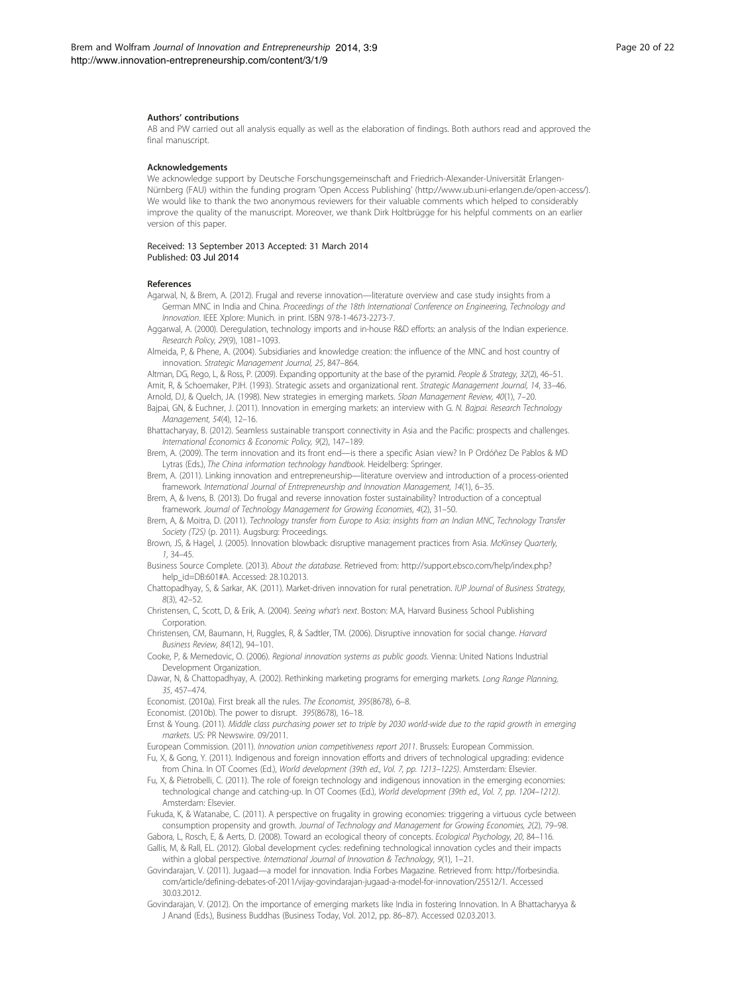#### <span id="page-19-0"></span>Authors' contributions

AB and PW carried out all analysis equally as well as the elaboration of findings. Both authors read and approved the final manuscript.

#### Acknowledgements

We acknowledge support by Deutsche Forschungsgemeinschaft and Friedrich-Alexander-Universität Erlangen-Nürnberg (FAU) within the funding program 'Open Access Publishing' (<http://www.ub.uni-erlangen.de/open-access/>). We would like to thank the two anonymous reviewers for their valuable comments which helped to considerably improve the quality of the manuscript. Moreover, we thank Dirk Holtbrügge for his helpful comments on an earlier version of this paper.

#### Received: 13 September 2013 Accepted: 31 March 2014 Published: 03 Jul 2014

#### References

Agarwal, N, & Brem, A. (2012). Frugal and reverse innovation—literature overview and case study insights from a German MNC in India and China. Proceedings of the 18th International Conference on Engineering, Technology and Innovation. IEEE Xplore: Munich. in print. ISBN 978-1-4673-2273-7.

Aggarwal, A. (2000). Deregulation, technology imports and in-house R&D efforts: an analysis of the Indian experience. Research Policy, 29(9), 1081–1093.

Almeida, P, & Phene, A. (2004). Subsidiaries and knowledge creation: the influence of the MNC and host country of innovation. Strategic Management Journal, 25, 847–864.

Altman, DG, Rego, L, & Ross, P. (2009). Expanding opportunity at the base of the pyramid. People & Strategy, 32(2), 46–51. Amit, R, & Schoemaker, PJH. (1993). Strategic assets and organizational rent. Strategic Management Journal, 14, 33–46. Arnold, DJ, & Quelch, JA. (1998). New strategies in emerging markets. Sloan Management Review, 40(1), 7–20.

Bajpai, GN, & Euchner, J. (2011). Innovation in emerging markets: an interview with G. N. Bajpai. Research Technology Management, 54(4), 12–16.

Bhattacharyay, B. (2012). Seamless sustainable transport connectivity in Asia and the Pacific: prospects and challenges. International Economics & Economic Policy, 9(2), 147–189.

Brem, A. (2009). The term innovation and its front end—is there a specific Asian view? In P Ordóñez De Pablos & MD Lytras (Eds.), The China information technology handbook. Heidelberg: Springer.

Brem, A. (2011). Linking innovation and entrepreneurship—literature overview and introduction of a process-oriented framework. International Journal of Entrepreneurship and Innovation Management, 14(1), 6–35.

Brem, A, & Ivens, B. (2013). Do frugal and reverse innovation foster sustainability? Introduction of a conceptual framework. Journal of Technology Management for Growing Economies, 4(2), 31–50.

Brem, A, & Moitra, D. (2011). Technology transfer from Europe to Asia: insights from an Indian MNC, Technology Transfer Society (T2S) (p. 2011). Augsburg: Proceedings.

Brown, JS, & Hagel, J. (2005). Innovation blowback: disruptive management practices from Asia. McKinsey Quarterly, 1, 34–45.

Business Source Complete. (2013). About the database. Retrieved from: [http://support.ebsco.com/help/index.php?](http://support.ebsco.com/help/index.php?help_id=DB:601#A) [help\\_id=DB:601#A](http://support.ebsco.com/help/index.php?help_id=DB:601#A). Accessed: 28.10.2013.

Chattopadhyay, S, & Sarkar, AK. (2011). Market-driven innovation for rural penetration. IUP Journal of Business Strategy, 8(3), 42–52.

Christensen, C, Scott, D, & Erik, A. (2004). Seeing what's next. Boston: M.A, Harvard Business School Publishing **Corporation** 

Christensen, CM, Baumann, H, Ruggles, R, & Sadtler, TM. (2006). Disruptive innovation for social change. Harvard Business Review, 84(12), 94–101.

Cooke, P, & Memedovic, O. (2006). Regional innovation systems as public goods. Vienna: United Nations Industrial Development Organization.

Dawar, N, & Chattopadhyay, A. (2002). Rethinking marketing programs for emerging markets. Long Range Planning, 35, 457–474.

Economist. (2010a). First break all the rules. The Economist, 395(8678), 6–8.

Economist. (2010b). The power to disrupt. 395(8678), 16–18.

Ernst & Young. (2011). Middle class purchasing power set to triple by 2030 world-wide due to the rapid growth in emerging markets. US: PR Newswire. 09/2011.

European Commission. (2011). Innovation union competitiveness report 2011. Brussels: European Commission.

Fu, X, & Gong, Y. (2011). Indigenous and foreign innovation efforts and drivers of technological upgrading: evidence from China. In OT Coomes (Ed.), World development (39th ed., Vol. 7, pp. 1213–1225). Amsterdam: Elsevier.

Fu, X, & Pietrobelli, C. (2011). The role of foreign technology and indigenous innovation in the emerging economies: technological change and catching-up. In OT Coomes (Ed.), World development (39th ed., Vol. 7, pp. 1204–1212). Amsterdam: Elsevier.

Fukuda, K, & Watanabe, C. (2011). A perspective on frugality in growing economies: triggering a virtuous cycle between consumption propensity and growth. Journal of Technology and Management for Growing Economies, 2(2), 79–98.

Gabora, L, Rosch, E, & Aerts, D. (2008). Toward an ecological theory of concepts. Ecological Psychology, 20, 84–116. Gallis, M, & Rall, EL. (2012). Global development cycles: redefining technological innovation cycles and their impacts

within a global perspective. International Journal of Innovation & Technology, 9(1), 1–21. Govindarajan, V. (2011). Jugaad—a model for innovation. India Forbes Magazine. Retrieved from: [http://forbesindia.](http://forbesindia.com/article/defining-debates-of-2011/vijay-govindarajan-jugaad-a-model-for-innovation/25512/1)

[com/article/defining-debates-of-2011/vijay-govindarajan-jugaad-a-model-for-innovation/25512/1](http://forbesindia.com/article/defining-debates-of-2011/vijay-govindarajan-jugaad-a-model-for-innovation/25512/1). Accessed 30.03.2012.

Govindarajan, V. (2012). On the importance of emerging markets like India in fostering Innovation. In A Bhattacharyya & J Anand (Eds.), Business Buddhas (Business Today, Vol. 2012, pp. 86–87). Accessed 02.03.2013.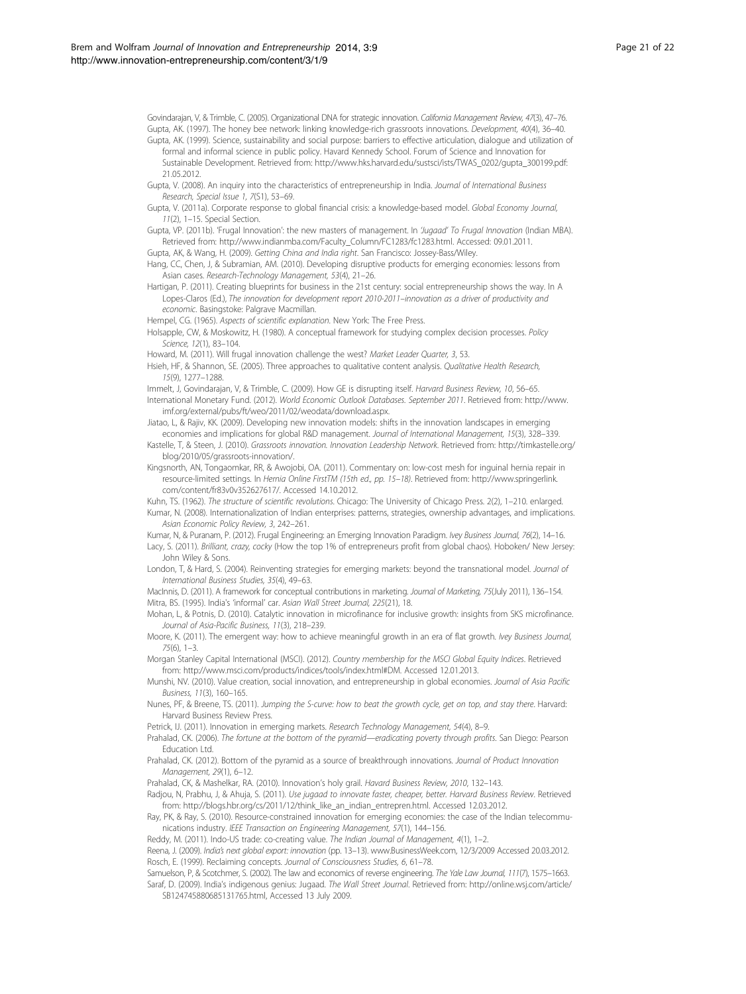<span id="page-20-0"></span>Govindarajan, V, & Trimble, C. (2005). Organizational DNA for strategic innovation. California Management Review, 47(3), 47–76. Gupta, AK. (1997). The honey bee network: linking knowledge-rich grassroots innovations. Development, 40(4), 36–40. Gupta, AK. (1999). Science, sustainability and social purpose: barriers to effective articulation, dialogue and utilization of

formal and informal science in public policy. Havard Kennedy School. Forum of Science and Innovation for Sustainable Development. Retrieved from: [http://www.hks.harvard.edu/sustsci/ists/TWAS\\_0202/gupta\\_300199.pdf](http://www.hks.harvard.edu/sustsci/ists/TWAS_0202/gupta_300199.pdf): 21.05.2012.

- Gupta, V. (2008). An inquiry into the characteristics of entrepreneurship in India. Journal of International Business Research, Special Issue 1, 7(S1), 53–69.
- Gupta, V. (2011a). Corporate response to global financial crisis: a knowledge-based model. Global Economy Journal, 11(2), 1–15. Special Section.
- Gupta, VP. (2011b). 'Frugal Innovation': the new masters of management. In 'Jugaad' To Frugal Innovation (Indian MBA). Retrieved from: [http://www.indianmba.com/Faculty\\_Column/FC1283/fc1283.html](http://www.indianmba.com/Faculty_Column/FC1283/fc1283.html). Accessed: 09.01.2011.

Gupta, AK, & Wang, H. (2009). Getting China and India right. San Francisco: Jossey-Bass/Wiley.

Hang, CC, Chen, J, & Subramian, AM. (2010). Developing disruptive products for emerging economies: lessons from Asian cases. Research-Technology Management, 53(4), 21–26.

Hartigan, P. (2011). Creating blueprints for business in the 21st century: social entrepreneurship shows the way. In A Lopes-Claros (Ed.), The innovation for development report 2010-2011–innovation as a driver of productivity and economic. Basingstoke: Palgrave Macmillan.

Hempel, CG. (1965). Aspects of scientific explanation. New York: The Free Press.

Holsapple, CW, & Moskowitz, H. (1980). A conceptual framework for studying complex decision processes. Policy Science, 12(1), 83–104.

Howard, M. (2011). Will frugal innovation challenge the west? Market Leader Quarter, 3, 53.

- Hsieh, HF, & Shannon, SE. (2005). Three approaches to qualitative content analysis. Qualitative Health Research, 15(9), 1277–1288.
- Immelt, J, Govindarajan, V, & Trimble, C. (2009). How GE is disrupting itself. Harvard Business Review, 10, 56–65. International Monetary Fund. (2012). World Economic Outlook Databases. September 2011. Retrieved from: [http://www.](http://www.imf.org/external/pubs/ft/weo/2011/02/weodata/download.aspx)
- [imf.org/external/pubs/ft/weo/2011/02/weodata/download.aspx](http://www.imf.org/external/pubs/ft/weo/2011/02/weodata/download.aspx). Jiatao, L, & Rajiv, KK. (2009). Developing new innovation models: shifts in the innovation landscapes in emerging
- economies and implications for global R&D management. Journal of International Management, 15(3), 328-339. Kastelle, T, & Steen, J. (2010). Grassroots innovation. Innovation Leadership Network. Retrieved from: [http://timkastelle.org/](http://timkastelle.org/blog/2010/05/grassroots-innovation/) [blog/2010/05/grassroots-innovation/](http://timkastelle.org/blog/2010/05/grassroots-innovation/).
- Kingsnorth, AN, Tongaomkar, RR, & Awojobi, OA. (2011). Commentary on: low-cost mesh for inguinal hernia repair in resource-limited settings. In Hernia Online FirstTM (15th ed., pp. 15–18). Retrieved from: [http://www.springerlink.](http://www.springerlink.com/content/fr83v0v352627617/) [com/content/fr83v0v352627617/](http://www.springerlink.com/content/fr83v0v352627617/). Accessed 14.10.2012.

Kuhn, TS. (1962). The structure of scientific revolutions. Chicago: The University of Chicago Press. 2(2), 1–210. enlarged. Kumar, N. (2008). Internationalization of Indian enterprises: patterns, strategies, ownership advantages, and implications. Asian Economic Policy Review, 3, 242–261.

Kumar, N, & Puranam, P. (2012). Frugal Engineering: an Emerging Innovation Paradigm. Ivey Business Journal, 76(2), 14-16.

- Lacy, S. (2011). Brilliant, crazy, cocky (How the top 1% of entrepreneurs profit from global chaos). Hoboken/ New Jersey: John Wiley & Sons.
- London, T, & Hard, S. (2004). Reinventing strategies for emerging markets: beyond the transnational model. Journal of International Business Studies, 35(4), 49–63.

MacInnis, D. (2011). A framework for conceptual contributions in marketing. Journal of Marketing, 75(July 2011), 136–154. Mitra, BS. (1995). India's 'informal' car. Asian Wall Street Journal, 225(21), 18.

Mohan, L, & Potnis, D. (2010). Catalytic innovation in microfinance for inclusive growth: insights from SKS microfinance. Journal of Asia-Pacific Business, 11(3), 218–239.

- Moore, K. (2011). The emergent way: how to achieve meaningful growth in an era of flat growth. Ivey Business Journal, 75(6), 1–3.
- Morgan Stanley Capital International (MSCI). (2012). Country membership for the MSCI Global Equity Indices. Retrieved from: [http://www.msci.com/products/indices/tools/index.html#DM.](http://www.msci.com/products/indices/tools/index.html#DM) Accessed 12.01.2013.
- Munshi, NV. (2010). Value creation, social innovation, and entrepreneurship in global economies. Journal of Asia Pacific Business, 11(3), 160–165.
- Nunes, PF, & Breene, TS. (2011). Jumping the S-curve: how to beat the growth cycle, get on top, and stay there. Harvard: Harvard Business Review Press.
- Petrick, IJ. (2011). Innovation in emerging markets. Research Technology Management, 54(4), 8-9.
- Prahalad, CK. (2006). The fortune at the bottom of the pyramid—eradicating poverty through profits. San Diego: Pearson Education Ltd.
- Prahalad, CK. (2012). Bottom of the pyramid as a source of breakthrough innovations. Journal of Product Innovation Management, 29(1), 6–12.
- Prahalad, CK, & Mashelkar, RA. (2010). Innovation's holy grail. Havard Business Review, 2010, 132–143.
- Radjou, N, Prabhu, J, & Ahuja, S. (2011). Use jugaad to innovate faster, cheaper, better. Harvard Business Review. Retrieved from: [http://blogs.hbr.org/cs/2011/12/think\\_like\\_an\\_indian\\_entrepren.html.](http://blogs.hbr.org/cs/2011/12/think_like_an_indian_entrepren.html) Accessed 12.03.2012.

Ray, PK, & Ray, S. (2010). Resource-constrained innovation for emerging economies: the case of the Indian telecommunications industry. IEEE Transaction on Engineering Management, 57(1), 144–156.

Reddy, M. (2011). Indo-US trade: co-creating value. The Indian Journal of Management, 4(1), 1-2.

Reena, J. (2009). India's next global export: innovation (pp. 13–13). [www.BusinessWeek.com](http://www.businessweek.com/), 12/3/2009 Accessed 20.03.2012. Rosch, E. (1999). Reclaiming concepts. Journal of Consciousness Studies, 6, 61–78.

Samuelson, P, & Scotchmer, S. (2002). The law and economics of reverse engineering. The Yale Law Journal, 111(7), 1575–1663. Saraf, D. (2009). India's indigenous genius: Jugaad. The Wall Street Journal. Retrieved from: [http://online.wsj.com/article/](http://online.wsj.com/article/SB124745880685131765.html)

[SB124745880685131765.html](http://online.wsj.com/article/SB124745880685131765.html), Accessed 13 July 2009.